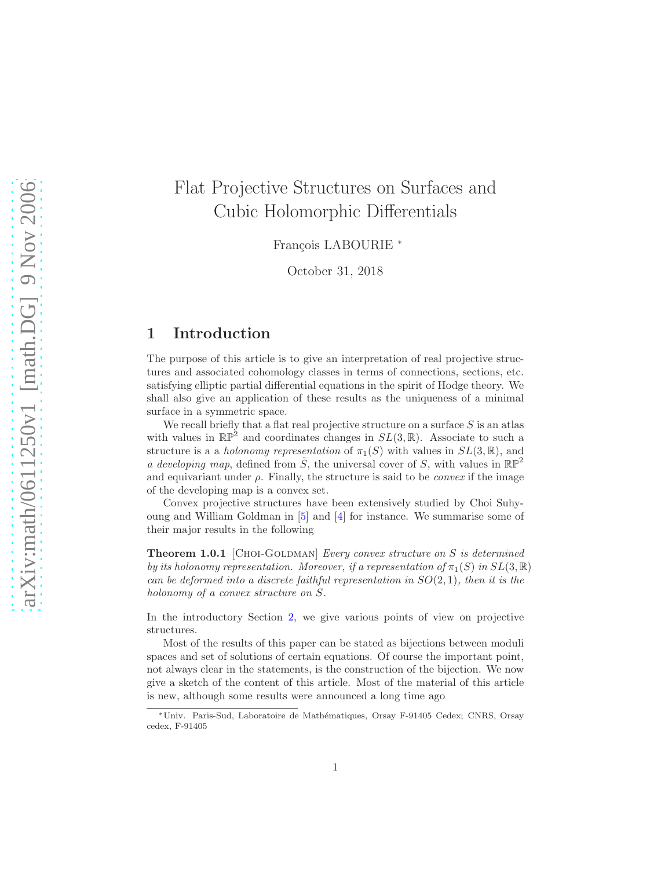# Flat Projective Structures on Surfaces and Cubic Holomorphic Differentials

François LABOURIE \*

October 31, 2018

### <span id="page-0-0"></span>1 Introduction

The purpose of this article is to give an interpretation of real projective structures and associated cohomology classes in terms of connections, sections, etc. satisfying elliptic partial differential equations in the spirit of Hodge theory. We shall also give an application of these results as the uniqueness of a minimal surface in a symmetric space.

We recall briefly that a flat real projective structure on a surface  $S$  is an atlas with values in  $\mathbb{RP}^2$  and coordinates changes in  $SL(3,\mathbb{R})$ . Associate to such a structure is a a *holonomy representation* of  $\pi_1(S)$  with values in  $SL(3,\mathbb{R})$ , and a developing map, defined from  $\tilde{S}$ , the universal cover of S, with values in  $\mathbb{RP}^2$ and equivariant under  $\rho$ . Finally, the structure is said to be *convex* if the image of the developing map is a convex set.

Convex projective structures have been extensively studied by Choi Suhyoung and William Goldman in [\[5\]](#page-39-0) and [\[4\]](#page-39-1) for instance. We summarise some of their major results in the following

**Theorem 1.0.1** [CHOI-GOLDMAN] Every convex structure on S is determined by its holonomy representation. Moreover, if a representation of  $\pi_1(S)$  in  $SL(3,\mathbb{R})$ can be deformed into a discrete faithful representation in  $SO(2,1)$ , then it is the holonomy of a convex structure on S.

In the introductory Section [2,](#page-3-0) we give various points of view on projective structures.

Most of the results of this paper can be stated as bijections between moduli spaces and set of solutions of certain equations. Of course the important point, not always clear in the statements, is the construction of the bijection. We now give a sketch of the content of this article. Most of the material of this article is new, although some results were announced a long time ago

<sup>∗</sup>Univ. Paris-Sud, Laboratoire de Math´ematiques, Orsay F-91405 Cedex; CNRS, Orsay cedex, F-91405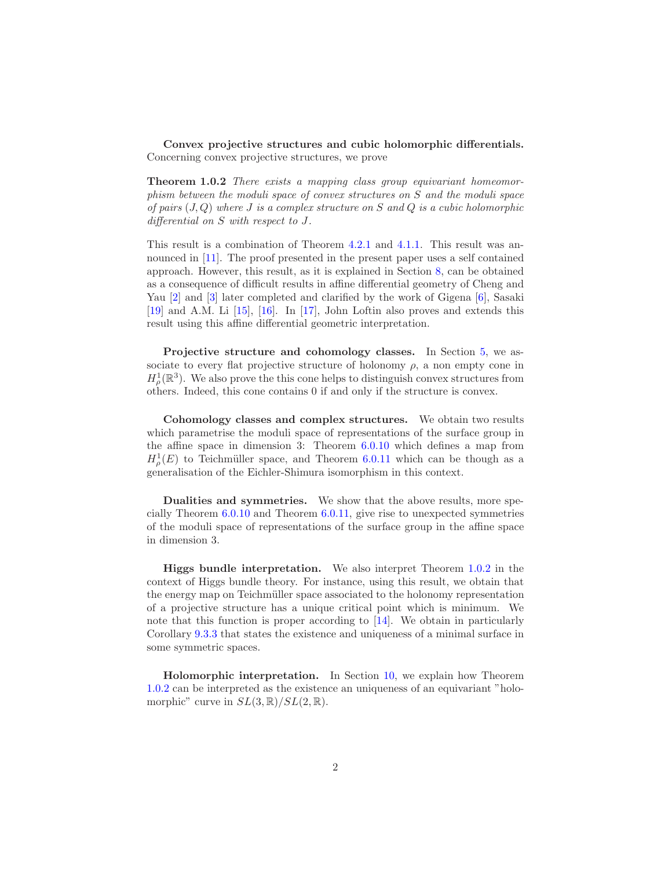<span id="page-1-0"></span>Convex projective structures and cubic holomorphic differentials. Concerning convex projective structures, we prove

**Theorem 1.0.2** There exists a mapping class group equivariant homeomorphism between the moduli space of convex structures on S and the moduli space of pairs  $(J, Q)$  where J is a complex structure on S and Q is a cubic holomorphic differential on S with respect to J.

This result is a combination of Theorem [4.2.1](#page-14-0) and [4.1.1.](#page-12-0) This result was an-nounced in [\[11\]](#page-39-2). The proof presented in the present paper uses a self contained approach. However, this result, as it is explained in Section [8,](#page-28-0) can be obtained as a consequence of difficult results in affine differential geometry of Cheng and Yau 2 and 3 later completed and clarified by the work of Gigena 6, Sasaki [\[19\]](#page-40-0) and A.M. Li [\[15\]](#page-39-5), [\[16\]](#page-39-6). In [\[17\]](#page-39-7), John Loftin also proves and extends this result using this affine differential geometric interpretation.

Projective structure and cohomology classes. In Section [5,](#page-19-0) we associate to every flat projective structure of holonomy  $\rho$ , a non empty cone in  $H^1_\rho(\mathbb{R}^3)$ . We also prove the this cone helps to distinguish convex structures from others. Indeed, this cone contains 0 if and only if the structure is convex.

Cohomology classes and complex structures. We obtain two results which parametrise the moduli space of representations of the surface group in the affine space in dimension 3: Theorem [6.0.10](#page-21-0) which defines a map from  $H^1_\rho(E)$  to Teichmüller space, and Theorem [6.0.11](#page-22-0) which can be though as a generalisation of the Eichler-Shimura isomorphism in this context.

Dualities and symmetries. We show that the above results, more specially Theorem [6.0.10](#page-21-0) and Theorem [6.0.11,](#page-22-0) give rise to unexpected symmetries of the moduli space of representations of the surface group in the affine space in dimension 3.

Higgs bundle interpretation. We also interpret Theorem [1.0.2](#page-1-0) in the context of Higgs bundle theory. For instance, using this result, we obtain that the energy map on Teichmüller space associated to the holonomy representation of a projective structure has a unique critical point which is minimum. We note that this function is proper according to [\[14\]](#page-39-8). We obtain in particularly Corollary [9.3.3](#page-33-0) that states the existence and uniqueness of a minimal surface in some symmetric spaces.

Holomorphic interpretation. In Section [10,](#page-33-1) we explain how Theorem [1.0.2](#page-1-0) can be interpreted as the existence an uniqueness of an equivariant "holomorphic" curve in  $SL(3,\mathbb{R})/SL(2,\mathbb{R})$ .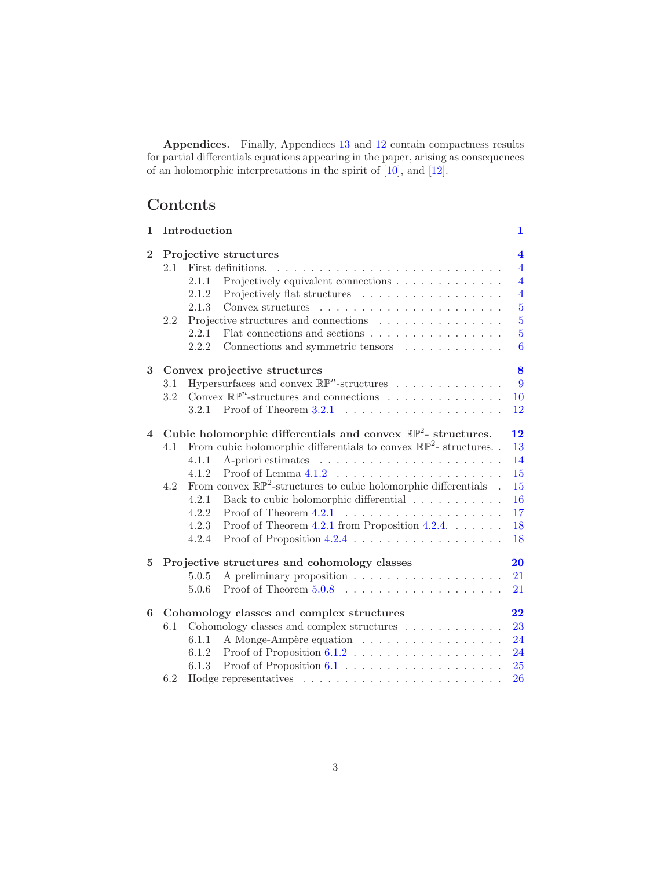Appendices. Finally, Appendices [13](#page-37-0) and [12](#page-35-0) contain compactness results for partial differentials equations appearing in the paper, arising as consequences of an holomorphic interpretations in the spirit of [\[10\]](#page-39-9), and [\[12\]](#page-39-10).

# Contents

| $\mathbf{1}$   |     | Introduction                                                                  | $\mathbf{1}$            |
|----------------|-----|-------------------------------------------------------------------------------|-------------------------|
| $\mathbf{2}$   |     | Projective structures                                                         | $\overline{\mathbf{4}}$ |
|                | 2.1 | First definitions.                                                            | $\overline{4}$          |
|                |     | Projectively equivalent connections<br>2.1.1                                  | $\overline{4}$          |
|                |     | 2.1.2<br>Projectively flat structures                                         | $\overline{4}$          |
|                |     | 2.1.3                                                                         | $\overline{5}$          |
|                | 2.2 | Projective structures and connections                                         | $\overline{5}$          |
|                |     | Flat connections and sections $\ldots \ldots \ldots \ldots \ldots$<br>2.2.1   | $\overline{5}$          |
|                |     | 2.2.2<br>Connections and symmetric tensors                                    | 6                       |
| 3              |     | Convex projective structures                                                  | 8                       |
|                | 3.1 | Hypersurfaces and convex $\mathbb{RP}^n$ -structures                          | 9                       |
|                | 3.2 | Convex $\mathbb{RP}^n$ -structures and connections                            | 10                      |
|                |     | 3.2.1                                                                         | 12                      |
| $\overline{4}$ |     | Cubic holomorphic differentials and convex $\mathbb{RP}^2$ - structures.      | 12                      |
|                | 4.1 | From cubic holomorphic differentials to convex $\mathbb{RP}^2$ -structures. . | 13                      |
|                |     | 4.1.1                                                                         | 14                      |
|                |     | 4.1.2                                                                         | 15                      |
|                | 4.2 | From convex $\mathbb{RP}^2$ -structures to cubic holomorphic differentials .  | 15                      |
|                |     | Back to cubic holomorphic differential $\ldots \ldots \ldots$<br>4.2.1        | 16                      |
|                |     | 4.2.2                                                                         | 17                      |
|                |     | 4.2.3<br>Proof of Theorem 4.2.1 from Proposition 4.2.4. $\dots$ .             | 18                      |
|                |     | 4.2.4                                                                         | 18                      |
| 5              |     | Projective structures and cohomology classes                                  | 20                      |
|                |     | 5.0.5                                                                         | 21                      |
|                |     | 5.0.6                                                                         | 21                      |
| 6              |     | Cohomology classes and complex structures                                     | 22                      |
|                | 6.1 | Cohomology classes and complex structures $\dots \dots \dots$                 | 23                      |
|                |     | A Monge-Ampère equation<br>6.1.1                                              | 24                      |
|                |     | 6.1.2                                                                         | 24                      |
|                |     | 6.1.3                                                                         | 25                      |
|                | 6.2 |                                                                               | 26                      |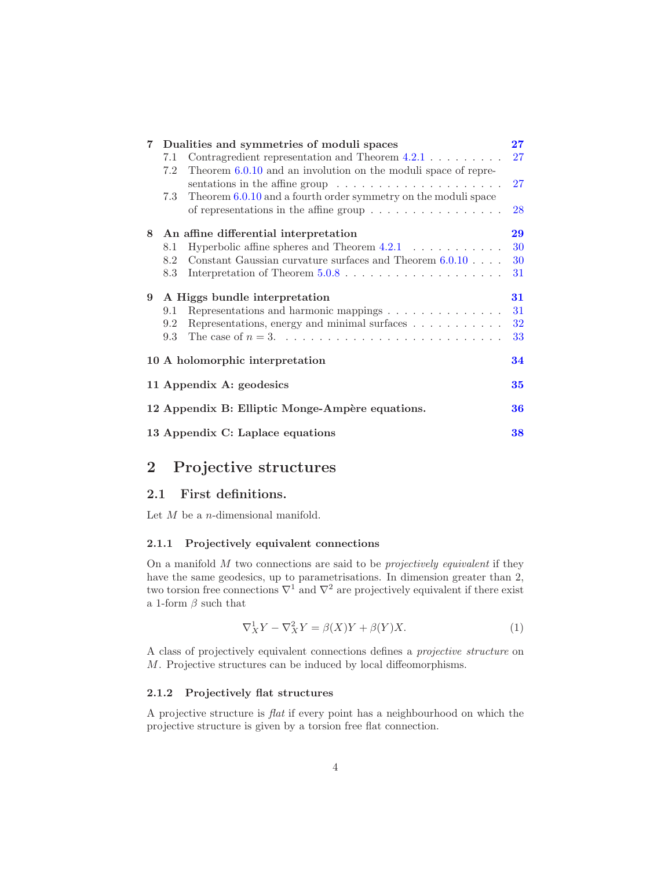| Dualities and symmetries of moduli spaces       | $27\,$                                                                                                                                                                                                                                                                                                                                                                                                                                                                                                                                                                                                          |  |
|-------------------------------------------------|-----------------------------------------------------------------------------------------------------------------------------------------------------------------------------------------------------------------------------------------------------------------------------------------------------------------------------------------------------------------------------------------------------------------------------------------------------------------------------------------------------------------------------------------------------------------------------------------------------------------|--|
| 7.1                                             | 27                                                                                                                                                                                                                                                                                                                                                                                                                                                                                                                                                                                                              |  |
| 7.2                                             |                                                                                                                                                                                                                                                                                                                                                                                                                                                                                                                                                                                                                 |  |
|                                                 | 27                                                                                                                                                                                                                                                                                                                                                                                                                                                                                                                                                                                                              |  |
| 7.3                                             |                                                                                                                                                                                                                                                                                                                                                                                                                                                                                                                                                                                                                 |  |
|                                                 | 28                                                                                                                                                                                                                                                                                                                                                                                                                                                                                                                                                                                                              |  |
| An affine differential interpretation           | 29                                                                                                                                                                                                                                                                                                                                                                                                                                                                                                                                                                                                              |  |
| 8.1                                             | 30                                                                                                                                                                                                                                                                                                                                                                                                                                                                                                                                                                                                              |  |
| 8.2                                             | 30                                                                                                                                                                                                                                                                                                                                                                                                                                                                                                                                                                                                              |  |
| 8.3                                             | 31                                                                                                                                                                                                                                                                                                                                                                                                                                                                                                                                                                                                              |  |
| A Higgs bundle interpretation                   | 31                                                                                                                                                                                                                                                                                                                                                                                                                                                                                                                                                                                                              |  |
| 9.1                                             | 31                                                                                                                                                                                                                                                                                                                                                                                                                                                                                                                                                                                                              |  |
| 9.2                                             | 32                                                                                                                                                                                                                                                                                                                                                                                                                                                                                                                                                                                                              |  |
| 9.3                                             | 33                                                                                                                                                                                                                                                                                                                                                                                                                                                                                                                                                                                                              |  |
| 34<br>10 A holomorphic interpretation           |                                                                                                                                                                                                                                                                                                                                                                                                                                                                                                                                                                                                                 |  |
| 11 Appendix A: geodesics                        |                                                                                                                                                                                                                                                                                                                                                                                                                                                                                                                                                                                                                 |  |
| 12 Appendix B: Elliptic Monge-Ampère equations. |                                                                                                                                                                                                                                                                                                                                                                                                                                                                                                                                                                                                                 |  |
|                                                 | 36                                                                                                                                                                                                                                                                                                                                                                                                                                                                                                                                                                                                              |  |
|                                                 | Contragredient representation and Theorem $4.2.1 \ldots \ldots$<br>Theorem $6.0.10$ and an involution on the moduli space of repre-<br>sentations in the affine group $\dots \dots \dots \dots \dots \dots \dots$<br>Theorem 6.0.10 and a fourth order symmetry on the moduli space<br>of representations in the affine group $\dots \dots \dots \dots \dots$<br>Hyperbolic affine spheres and Theorem $4.2.1 \ldots \ldots \ldots$<br>Constant Gaussian curvature surfaces and Theorem $6.0.10$ .<br>Representations and harmonic mappings<br>Representations, energy and minimal surfaces $\dots \dots \dots$ |  |

## <span id="page-3-0"></span>2 Projective structures

### <span id="page-3-1"></span>2.1 First definitions.

<span id="page-3-2"></span>Let  $M$  be a *n*-dimensional manifold.

### 2.1.1 Projectively equivalent connections

On a manifold  $M$  two connections are said to be *projectively equivalent* if they have the same geodesics, up to parametrisations. In dimension greater than 2, two torsion free connections  $\nabla^1$  and  $\nabla^2$  are projectively equivalent if there exist a 1-form  $\beta$  such that

$$
\nabla_X^1 Y - \nabla_X^2 Y = \beta(X)Y + \beta(Y)X.
$$
\n(1)

A class of projectively equivalent connections defines a projective structure on M. Projective structures can be induced by local diffeomorphisms.

### <span id="page-3-3"></span>2.1.2 Projectively flat structures

A projective structure is flat if every point has a neighbourhood on which the projective structure is given by a torsion free flat connection.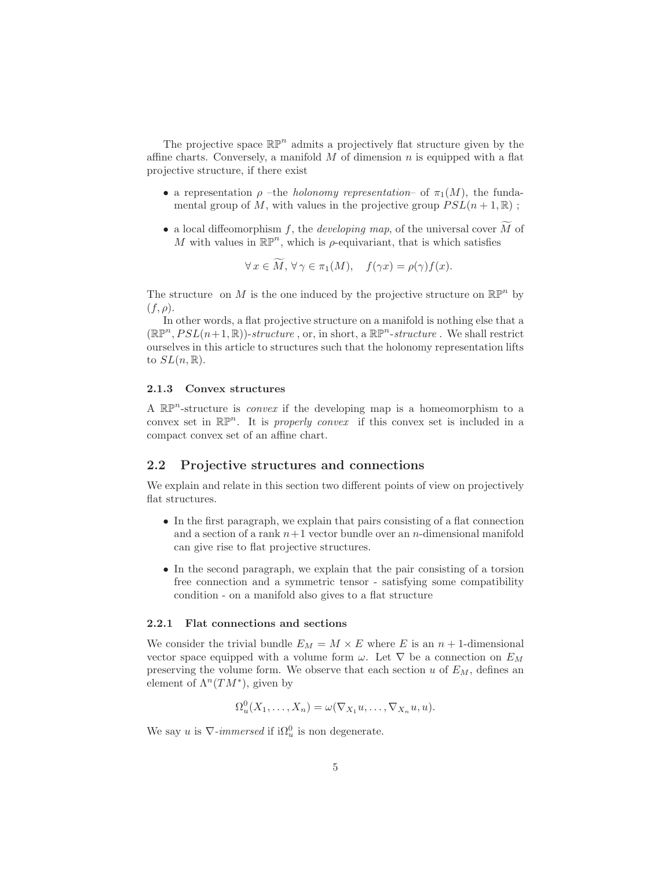The projective space  $\mathbb{RP}^n$  admits a projectively flat structure given by the affine charts. Conversely, a manifold  $M$  of dimension  $n$  is equipped with a flat projective structure, if there exist

- a representation  $\rho$  –the *holonomy representation* of  $\pi_1(M)$ , the fundamental group of M, with values in the projective group  $PSL(n+1, \mathbb{R})$ ;
- a local diffeomorphism f, the *developing map*, of the universal cover  $\widetilde{M}$  of M with values in  $\mathbb{RP}^n$ , which is  $\rho$ -equivariant, that is which satisfies

$$
\forall x \in M, \forall \gamma \in \pi_1(M), \quad f(\gamma x) = \rho(\gamma) f(x).
$$

The structure on M is the one induced by the projective structure on  $\mathbb{RP}^n$  by  $(f, \rho).$ 

In other words, a flat projective structure on a manifold is nothing else that a  $(\mathbb{R} \mathbb{P}^n, PSL(n+1, \mathbb{R}))$ -structure, or, in short, a  $\mathbb{R} \mathbb{P}^n$ -structure. We shall restrict ourselves in this article to structures such that the holonomy representation lifts to  $SL(n,\mathbb{R})$ .

### <span id="page-4-0"></span>2.1.3 Convex structures

A  $\mathbb{RP}^n$ -structure is *convex* if the developing map is a homeomorphism to a convex set in  $\mathbb{RP}^n$ . It is *properly convex* if this convex set is included in a compact convex set of an affine chart.

### <span id="page-4-1"></span>2.2 Projective structures and connections

We explain and relate in this section two different points of view on projectively flat structures.

- In the first paragraph, we explain that pairs consisting of a flat connection and a section of a rank  $n+1$  vector bundle over an n-dimensional manifold can give rise to flat projective structures.
- In the second paragraph, we explain that the pair consisting of a torsion free connection and a symmetric tensor - satisfying some compatibility condition - on a manifold also gives to a flat structure

#### <span id="page-4-2"></span>2.2.1 Flat connections and sections

We consider the trivial bundle  $E_M = M \times E$  where E is an  $n + 1$ -dimensional vector space equipped with a volume form  $\omega$ . Let  $\nabla$  be a connection on  $E_M$ preserving the volume form. We observe that each section  $u$  of  $E_M$ , defines an element of  $\Lambda^n(TM^*)$ , given by

$$
\Omega_u^0(X_1,\ldots,X_n)=\omega(\nabla_{X_1}u,\ldots,\nabla_{X_n}u,u).
$$

We say u is  $\nabla$ -immersed if  $i\Omega_u^0$  is non degenerate.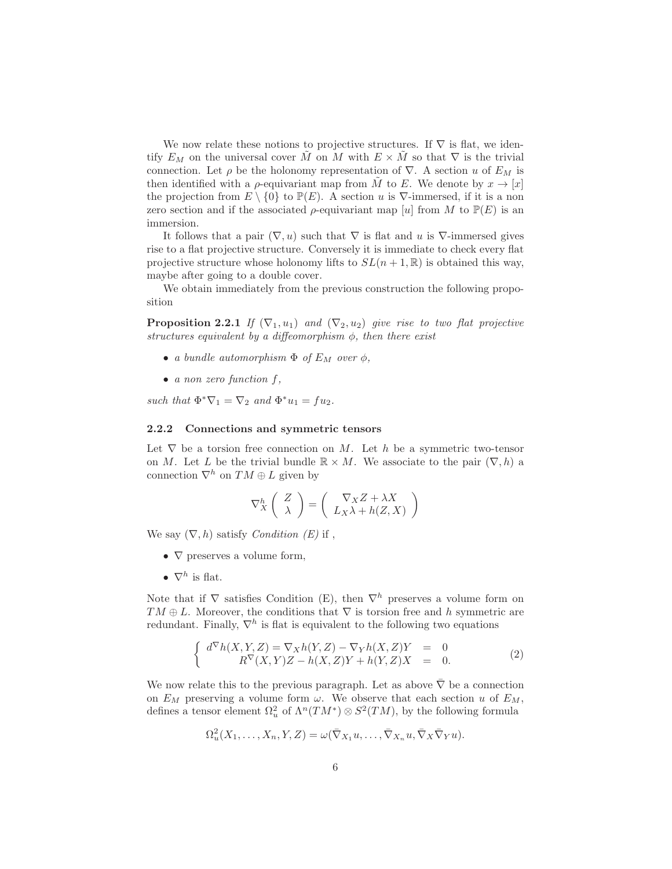We now relate these notions to projective structures. If  $\nabla$  is flat, we identify  $E_M$  on the universal cover  $\tilde{M}$  on M with  $E \times \tilde{M}$  so that  $\nabla$  is the trivial connection. Let  $\rho$  be the holonomy representation of  $\nabla$ . A section u of  $E_M$  is then identified with a *ρ*-equivariant map from  $\tilde{M}$  to E. We denote by  $x \to [x]$ the projection from  $E \setminus \{0\}$  to  $\mathbb{P}(E)$ . A section u is  $\nabla$ -immersed, if it is a non zero section and if the associated  $\rho$ -equivariant map [u] from M to  $\mathbb{P}(E)$  is an immersion.

It follows that a pair  $(\nabla, u)$  such that  $\nabla$  is flat and u is  $\nabla$ -immersed gives rise to a flat projective structure. Conversely it is immediate to check every flat projective structure whose holonomy lifts to  $SL(n+1,\mathbb{R})$  is obtained this way, maybe after going to a double cover.

We obtain immediately from the previous construction the following proposition

**Proposition 2.2.1** If  $(\nabla_1, u_1)$  and  $(\nabla_2, u_2)$  give rise to two flat projective structures equivalent by a diffeomorphism  $\phi$ , then there exist

- a bundle automorphism  $\Phi$  of  $E_M$  over  $\phi$ ,
- $\bullet$  a non zero function f,

such that  $\Phi^*\nabla_1 = \nabla_2$  and  $\Phi^*u_1 = fu_2$ .

### <span id="page-5-0"></span>2.2.2 Connections and symmetric tensors

Let  $\nabla$  be a torsion free connection on M. Let h be a symmetric two-tensor on M. Let L be the trivial bundle  $\mathbb{R} \times M$ . We associate to the pair  $(\nabla, h)$  a connection  $\nabla^h$  on  $TM \oplus L$  given by

$$
\nabla_X^h \left( \begin{array}{c} Z \\ \lambda \end{array} \right) = \left( \begin{array}{c} \nabla_X Z + \lambda X \\ L_X \lambda + h(Z, X) \end{array} \right)
$$

We say  $(\nabla, h)$  satisfy *Condition*  $(E)$  if,

- $\nabla$  preserves a volume form,
- $\nabla^h$  is flat.

Note that if  $\nabla$  satisfies Condition (E), then  $\nabla^h$  preserves a volume form on  $TM \oplus L$ . Moreover, the conditions that  $\nabla$  is torsion free and h symmetric are redundant. Finally,  $\nabla^h$  is flat is equivalent to the following two equations

<span id="page-5-1"></span>
$$
\begin{cases}\n d^{\nabla}h(X,Y,Z) = \nabla_X h(Y,Z) - \nabla_Y h(X,Z)Y = 0 \\
 R^{\nabla}(X,Y)Z - h(X,Z)Y + h(Y,Z)X = 0.\n\end{cases}
$$
\n(2)

We now relate this to the previous paragraph. Let as above  $\bar{\nabla}$  be a connection on  $E_M$  preserving a volume form  $\omega$ . We observe that each section u of  $E_M$ , defines a tensor element  $\Omega_u^2$  of  $\Lambda^n(TM^*)\otimes S^2(TM)$ , by the following formula

$$
\Omega_u^2(X_1,\ldots,X_n,Y,Z)=\omega(\bar{\nabla}_{X_1}u,\ldots,\bar{\nabla}_{X_n}u,\bar{\nabla}_X\bar{\nabla}_Yu).
$$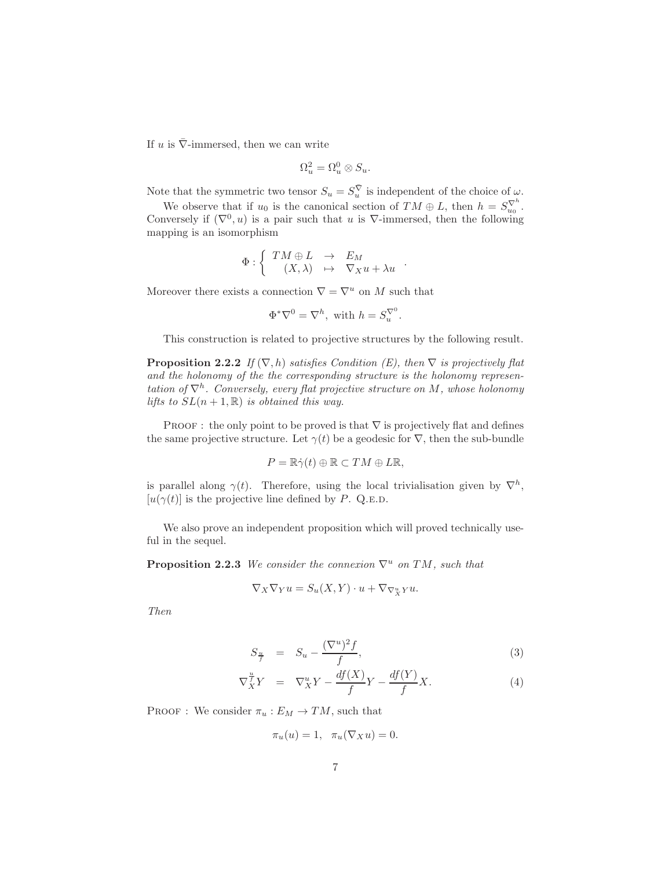If u is  $\bar{\nabla}$ -immersed, then we can write

$$
\Omega_u^2 = \Omega_u^0 \otimes S_u.
$$

Note that the symmetric two tensor  $S_u = S_u^{\overline{\nabla}}$  is independent of the choice of  $\omega$ .

We observe that if  $u_0$  is the canonical section of  $TM \oplus L$ , then  $h = S_{u_0}^{\nabla^h}$ . Conversely if  $(\nabla^0, u)$  is a pair such that u is  $\nabla$ -immersed, then the following mapping is an isomorphism

$$
\Phi : \left\{ \begin{array}{rcl} TM \oplus L & \to & E_M \\ (X,\lambda) & \mapsto & \nabla_X u + \lambda u \end{array} \right. .
$$

Moreover there exists a connection  $\nabla = \nabla^u$  on M such that

$$
\Phi^*\nabla^0=\nabla^h, \text{ with } h=S_u^{\nabla^0}.
$$

This construction is related to projective structures by the following result.

**Proposition 2.2.2** If  $(\nabla, h)$  satisfies Condition (E), then  $\nabla$  is projectively flat and the holonomy of the the corresponding structure is the holonomy representation of  $\nabla^h$ . Conversely, every flat projective structure on M, whose holonomy lifts to  $SL(n+1,\mathbb{R})$  is obtained this way.

PROOF : the only point to be proved is that  $\nabla$  is projectively flat and defines the same projective structure. Let  $\gamma(t)$  be a geodesic for  $\nabla$ , then the sub-bundle

$$
P = \mathbb{R}\dot{\gamma}(t) \oplus \mathbb{R} \subset TM \oplus L\mathbb{R},
$$

is parallel along  $\gamma(t)$ . Therefore, using the local trivialisation given by  $\nabla^h$ ,  $[u(\gamma(t)]$  is the projective line defined by P. Q.E.D.

<span id="page-6-1"></span>We also prove an independent proposition which will proved technically useful in the sequel.

**Proposition 2.2.3** We consider the connexion  $\nabla^u$  on TM, such that

$$
\nabla_X \nabla_Y u = S_u(X, Y) \cdot u + \nabla_{\nabla_X^u Y} u.
$$

Then

<span id="page-6-0"></span>
$$
S_{\frac{u}{f}} = S_u - \frac{(\nabla^u)^2 f}{f}, \tag{3}
$$

$$
\nabla_X^{\frac{u}{f}} Y = \nabla_X^u Y - \frac{df(X)}{f} Y - \frac{df(Y)}{f} X.
$$
\n(4)

PROOF : We consider  $\pi_u : E_M \to TM$ , such that

$$
\pi_u(u) = 1, \quad \pi_u(\nabla_X u) = 0.
$$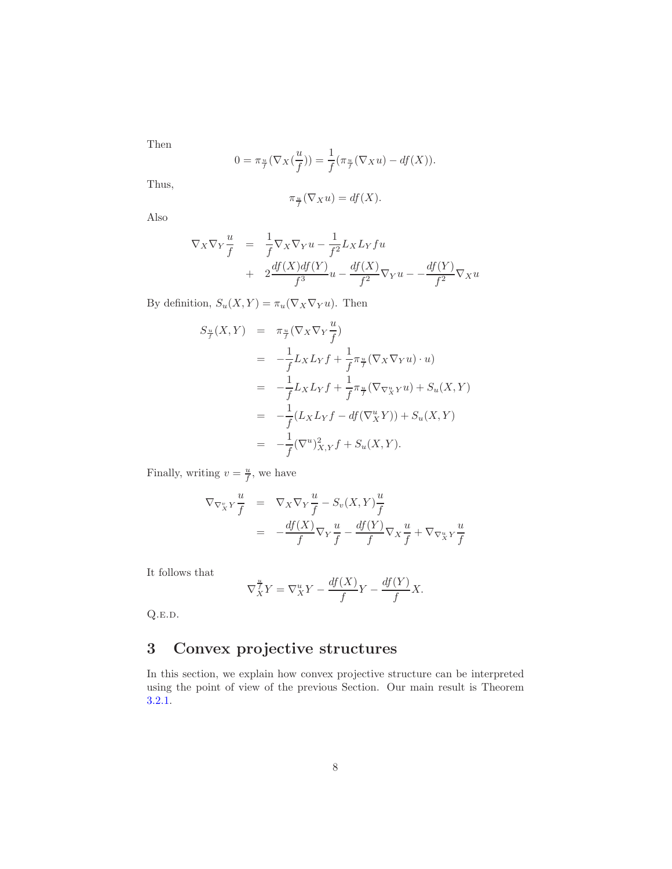Then

$$
0 = \pi_{\frac{u}{f}}(\nabla_X(\frac{u}{f})) = \frac{1}{f}(\pi_{\frac{u}{f}}(\nabla_X u) - df(X)).
$$

Thus,

$$
\pi_{\frac{u}{f}}(\nabla_X u) = df(X).
$$

Also

$$
\nabla_X \nabla_Y \frac{u}{f} = \frac{1}{f} \nabla_X \nabla_Y u - \frac{1}{f^2} L_X L_Y fu
$$
  
+ 
$$
2 \frac{df(X) df(Y)}{f^3} u - \frac{df(X)}{f^2} \nabla_Y u - \frac{df(Y)}{f^2} \nabla_X u
$$

By definition,  $S_u(X, Y) = \pi_u(\nabla_X \nabla_Y u)$ . Then

$$
S_{\frac{u}{f}}(X,Y) = \pi_{\frac{u}{f}}(\nabla_X \nabla_Y \frac{u}{f})
$$
  
\n
$$
= -\frac{1}{f} L_X L_Y f + \frac{1}{f} \pi_{\frac{u}{f}}(\nabla_X \nabla_Y u) \cdot u)
$$
  
\n
$$
= -\frac{1}{f} L_X L_Y f + \frac{1}{f} \pi_{\frac{u}{f}}(\nabla_{\nabla_X^u} \nabla u) + S_u(X,Y)
$$
  
\n
$$
= -\frac{1}{f} (L_X L_Y f - df(\nabla_X^u Y)) + S_u(X,Y)
$$
  
\n
$$
= -\frac{1}{f} (\nabla^u)_{X,Y}^2 f + S_u(X,Y).
$$

Finally, writing  $v = \frac{u}{f}$ , we have

$$
\nabla_{\nabla_X^v Y} \frac{u}{f} = \nabla_X \nabla_Y \frac{u}{f} - S_v(X, Y) \frac{u}{f}
$$
\n
$$
= -\frac{df(X)}{f} \nabla_Y \frac{u}{f} - \frac{df(Y)}{f} \nabla_X \frac{u}{f} + \nabla_{\nabla_X^u Y} \frac{u}{f}
$$

It follows that

$$
\nabla_X^{\frac{u}{f}} Y = \nabla_X^u Y - \frac{df(X)}{f} Y - \frac{df(Y)}{f} X.
$$

 $Q.E.D.$ 

# <span id="page-7-0"></span>3 Convex projective structures

In this section, we explain how convex projective structure can be interpreted using the point of view of the previous Section. Our main result is Theorem [3.2.1.](#page-9-1)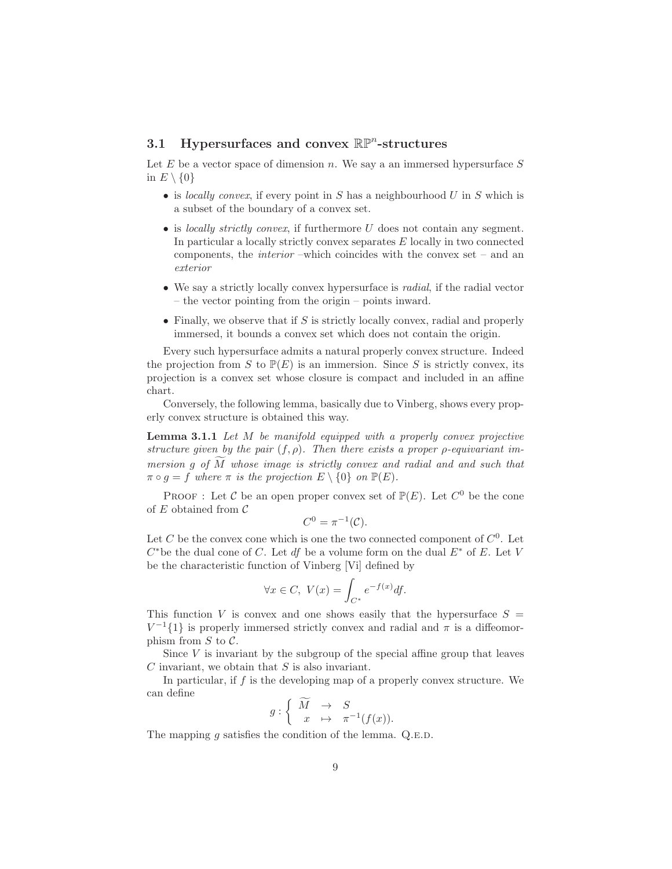# <span id="page-8-0"></span>3.1 Hypersurfaces and convex  $\mathbb{RP}^n$ -structures

Let  $E$  be a vector space of dimension n. We say a an immersed hypersurface  $S$ in  $E \setminus \{0\}$ 

- is locally convex, if every point in S has a neighbourhood U in S which is a subset of the boundary of a convex set.
- is locally strictly convex, if furthermore  $U$  does not contain any segment. In particular a locally strictly convex separates  $E$  locally in two connected components, the interior –which coincides with the convex set – and an exterior
- We say a strictly locally convex hypersurface is *radial*, if the radial vector – the vector pointing from the origin – points inward.
- Finally, we observe that if  $S$  is strictly locally convex, radial and properly immersed, it bounds a convex set which does not contain the origin.

Every such hypersurface admits a natural properly convex structure. Indeed the projection from S to  $\mathbb{P}(E)$  is an immersion. Since S is strictly convex, its projection is a convex set whose closure is compact and included in an affine chart.

<span id="page-8-1"></span>Conversely, the following lemma, basically due to Vinberg, shows every properly convex structure is obtained this way.

Lemma 3.1.1 Let M be manifold equipped with a properly convex projective structure given by the pair  $(f, \rho)$ . Then there exists a proper  $\rho$ -equivariant immersion q of  $\overline{M}$  whose image is strictly convex and radial and and such that  $\pi \circ g = f$  where  $\pi$  is the projection  $E \setminus \{0\}$  on  $\mathbb{P}(E)$ .

PROOF : Let C be an open proper convex set of  $\mathbb{P}(E)$ . Let  $C^0$  be the cone of  $E$  obtained from  $\mathcal C$ 

$$
C^0 = \pi^{-1}(\mathcal{C}).
$$

Let C be the convex cone which is one the two connected component of  $C^0$ . Let  $C^*$ be the dual cone of C. Let df be a volume form on the dual  $E^*$  of E. Let V be the characteristic function of Vinberg [Vi] defined by

$$
\forall x \in C, \ V(x) = \int_{C^*} e^{-f(x)} df.
$$

This function V is convex and one shows easily that the hypersurface  $S =$  $V^{-1}\{1\}$  is properly immersed strictly convex and radial and  $\pi$  is a diffeomorphism from  $S$  to  $\mathcal{C}$ .

Since  $V$  is invariant by the subgroup of the special affine group that leaves  $C$  invariant, we obtain that  $S$  is also invariant.

In particular, if  $f$  is the developing map of a properly convex structure. We can define

$$
g: \left\{ \begin{array}{ccc} \widetilde{M} & \to & S \\ x & \mapsto & \pi^{-1}(f(x)). \end{array} \right.
$$

The mapping  $g$  satisfies the condition of the lemma. Q.E.D.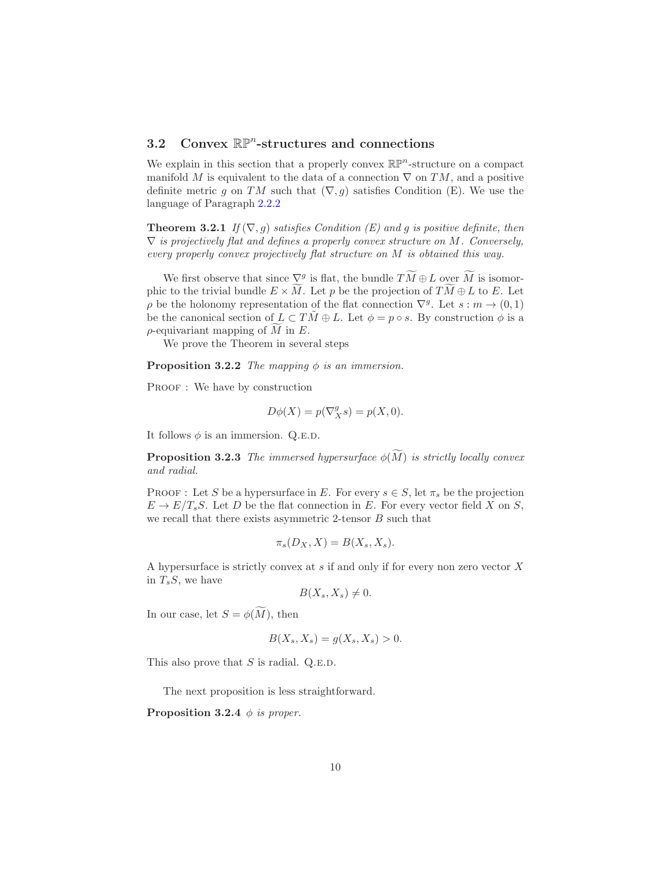# <span id="page-9-0"></span>3.2 Convex  $\mathbb{RP}^n$ -structures and connections

We explain in this section that a properly convex  $\mathbb{RP}^n$ -structure on a compact manifold M is equivalent to the data of a connection  $\nabla$  on TM, and a positive definite metric g on TM such that  $(\nabla, g)$  satisfies Condition (E). We use the language of Paragraph [2.2.2](#page-5-0)

<span id="page-9-1"></span>**Theorem 3.2.1** If  $(\nabla, g)$  satisfies Condition (E) and g is positive definite, then  $\nabla$  is projectively flat and defines a properly convex structure on M. Conversely, every properly convex projectively flat structure on M is obtained this way.

We first observe that since  $\nabla_g$  is flat, the bundle  $TM \oplus L$  over M is isomorphic to the trivial bundle  $E \times \tilde{M}$ . Let p be the projection of  $\tilde{T}\tilde{M} \oplus L$  to E. Let  $\rho$  be the holonomy representation of the flat connection  $\nabla^g$ . Let  $s : m \to (0,1)$ be the canonical section of  $L \subset TM \oplus L$ . Let  $\phi = p \circ s$ . By construction  $\phi$  is a  $\rho$ -equivariant mapping of M in E.

We prove the Theorem in several steps

**Proposition 3.2.2** The mapping  $\phi$  is an immersion.

PROOF : We have by construction

<span id="page-9-3"></span><span id="page-9-2"></span>
$$
D\phi(X) = p(\nabla_X^g s) = p(X, 0).
$$

It follows  $\phi$  is an immersion. Q.E.D.

**Proposition 3.2.3** The immersed hypersurface  $\phi(\tilde{M})$  is strictly locally convex and radial.

PROOF : Let S be a hypersurface in E. For every  $s \in S$ , let  $\pi_s$  be the projection  $E \to E/T_sS$ . Let D be the flat connection in E. For every vector field X on S, we recall that there exists asymmetric 2-tensor  $B$  such that

$$
\pi_s(D_X, X) = B(X_s, X_s).
$$

A hypersurface is strictly convex at s if and only if for every non zero vector X in  $T_sS$ , we have

$$
B(X_s, X_s) \neq 0.
$$

In our case, let  $S = \phi(\widetilde{M})$ , then

<span id="page-9-4"></span>
$$
B(X_s, X_s) = g(X_s, X_s) > 0.
$$

This also prove that  $S$  is radial. Q.E.D.

The next proposition is less straightforward.

**Proposition 3.2.4**  $\phi$  is proper.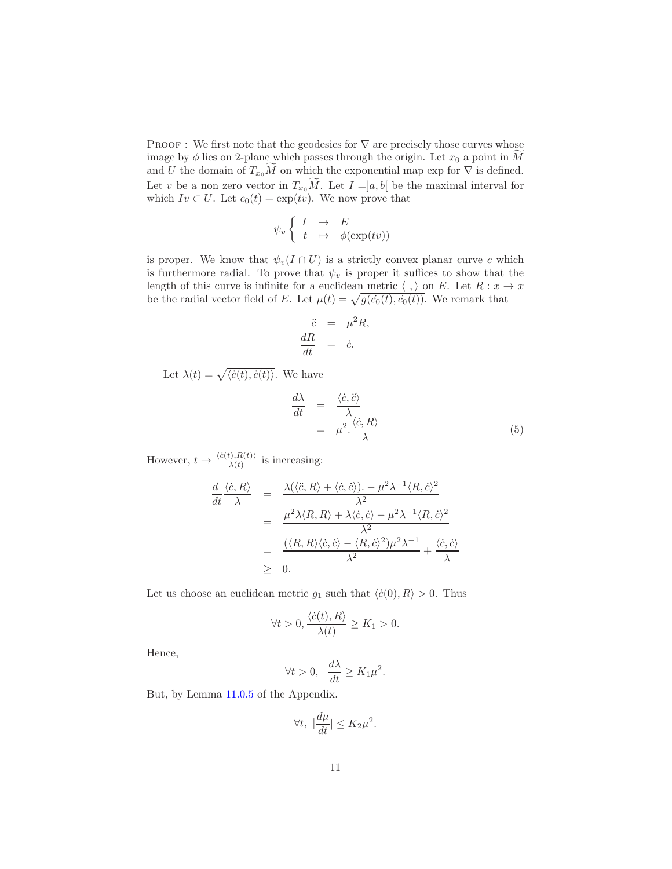PROOF : We first note that the geodesics for  $\nabla$  are precisely those curves whose image by  $\phi$  lies on 2-plane which passes through the origin. Let  $x_0$  a point in M and U the domain of  $T_{x_0}M$  on which the exponential map exp for  $\nabla$  is defined. Let v be a non zero vector in  $T_{x_0}M$ . Let  $I =]a, b[$  be the maximal interval for which  $Iv \subset U$ . Let  $c_0(t) = \exp(tv)$ . We now prove that

$$
\psi_v \left\{ \begin{array}{ccc} I & \to & E \\ t & \mapsto & \phi(\exp(tv)) \end{array} \right.
$$

is proper. We know that  $\psi_v(I \cap U)$  is a strictly convex planar curve c which is furthermore radial. To prove that  $\psi_v$  is proper it suffices to show that the length of this curve is infinite for a euclidean metric  $\langle , \rangle$  on E. Let  $R : x \to x$ be the radial vector field of E. Let  $\mu(t) = \sqrt{g(c_0(t), c_0(t))}$ . We remark that

$$
\ddot{c} = \mu^2 R,
$$
  

$$
\frac{dR}{dt} = \dot{c}.
$$

Let  $\lambda(t) = \sqrt{\langle \dot{c}(t), \dot{c}(t) \rangle}$ . We have

$$
\frac{d\lambda}{dt} = \frac{\langle \dot{c}, \ddot{c} \rangle}{\lambda}
$$
\n
$$
= \mu^2 \cdot \frac{\langle \dot{c}, R \rangle}{\lambda}
$$
\n(5)

However,  $t \to \frac{\langle \dot{c}(t), R(t) \rangle}{\lambda(t)}$  is increasing:

d

$$
\frac{d}{dt}\frac{\langle \dot{c}, R \rangle}{\lambda} = \frac{\lambda(\langle \ddot{c}, R \rangle + \langle \dot{c}, \dot{c} \rangle) - \mu^2 \lambda^{-1} \langle R, \dot{c} \rangle^2}{\lambda^2}
$$
\n
$$
= \frac{\mu^2 \lambda \langle R, R \rangle + \lambda \langle \dot{c}, \dot{c} \rangle - \mu^2 \lambda^{-1} \langle R, \dot{c} \rangle^2}{\lambda^2}
$$
\n
$$
= \frac{(\langle R, R \rangle \langle \dot{c}, \dot{c} \rangle - \langle R, \dot{c} \rangle^2) \mu^2 \lambda^{-1}}{\lambda^2} + \frac{\langle \dot{c}, \dot{c} \rangle}{\lambda}
$$
\n
$$
\geq 0.
$$

Let us choose an euclidean metric  $q_1$  such that  $\langle \dot{c}(0), R \rangle > 0$ . Thus

$$
\forall t > 0, \frac{\langle \dot{c}(t), R \rangle}{\lambda(t)} \ge K_1 > 0.
$$

Hence,

$$
\forall t > 0, \quad \frac{d\lambda}{dt} \ge K_1 \mu^2.
$$

But, by Lemma [11.0.5](#page-34-1) of the Appendix.

$$
\forall t, \ |\frac{d\mu}{dt}| \le K_2 \mu^2.
$$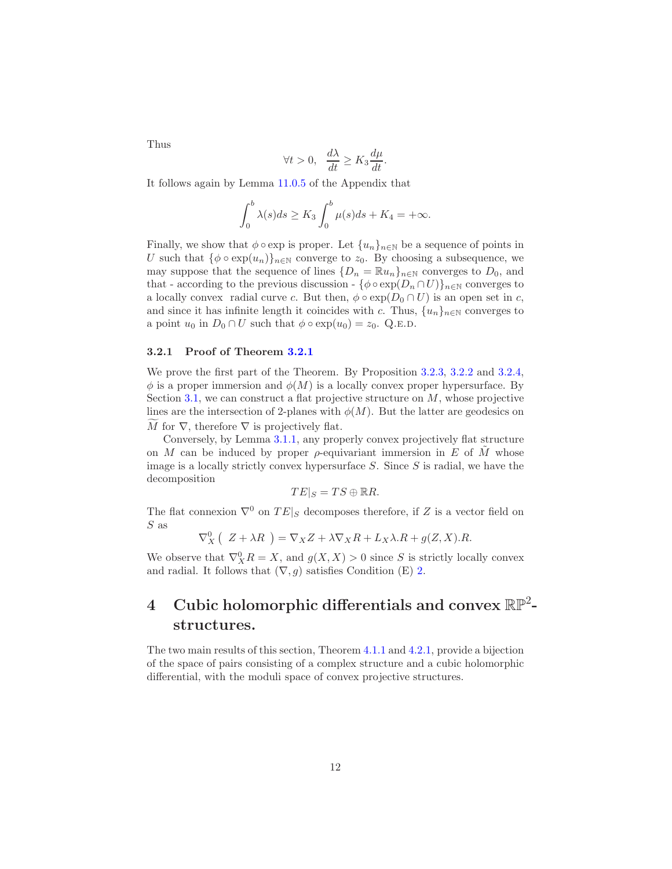Thus

$$
\forall t > 0, \quad \frac{d\lambda}{dt} \ge K_3 \frac{d\mu}{dt}.
$$

It follows again by Lemma [11.0.5](#page-34-1) of the Appendix that

$$
\int_0^b \lambda(s)ds \ge K_3 \int_0^b \mu(s)ds + K_4 = +\infty.
$$

Finally, we show that  $\phi \circ \exp$  is proper. Let  $\{u_n\}_{n\in\mathbb{N}}$  be a sequence of points in U such that  $\{\phi \circ \exp(u_n)\}_{n \in \mathbb{N}}$  converge to  $z_0$ . By choosing a subsequence, we may suppose that the sequence of lines  $\{D_n = \mathbb{R}u_n\}_{n\in\mathbb{N}}$  converges to  $D_0$ , and that - according to the previous discussion -  $\{\phi \circ \exp(D_n \cap U)\}_{n \in \mathbb{N}}$  converges to a locally convex radial curve c. But then,  $\phi \circ \exp(D_0 \cap U)$  is an open set in c, and since it has infinite length it coincides with c. Thus,  $\{u_n\}_{n\in\mathbb{N}}$  converges to a point  $u_0$  in  $D_0 \cap U$  such that  $\phi \circ \exp(u_0) = z_0$ . Q.E.D.

#### <span id="page-11-0"></span>3.2.1 Proof of Theorem [3.2.1](#page-9-1)

We prove the first part of the Theorem. By Proposition [3.2.3,](#page-9-2) [3.2.2](#page-9-3) and [3.2.4,](#page-9-4)  $\phi$  is a proper immersion and  $\phi(M)$  is a locally convex proper hypersurface. By Section [3.1,](#page-8-0) we can construct a flat projective structure on  $M$ , whose projective lines are the intersection of 2-planes with  $\phi(M)$ . But the latter are geodesics on M for  $\nabla$ , therefore  $\nabla$  is projectively flat.

Conversely, by Lemma [3.1.1,](#page-8-1) any properly convex projectively flat structure on M can be induced by proper  $\rho$ -equivariant immersion in E of M whose image is a locally strictly convex hypersurface  $S$ . Since  $S$  is radial, we have the decomposition

$$
TE|_S = TS \oplus \mathbb{R}R.
$$

The flat connexion  $\nabla^0$  on  $TE|_S$  decomposes therefore, if Z is a vector field on S as

$$
\nabla_X^0(Z + \lambda R) = \nabla_X Z + \lambda \nabla_X R + L_X \lambda R + g(Z, X).R.
$$

We observe that  $\nabla_X^0 R = X$ , and  $g(X, X) > 0$  since S is strictly locally convex and radial. It follows that  $(\nabla, g)$  satisfies Condition (E) [2.](#page-5-1)

# <span id="page-11-1"></span> $4$  Cubic holomorphic differentials and convex  $\mathbb{RP}^2$ structures.

The two main results of this section, Theorem [4.1.1](#page-12-0) and [4.2.1,](#page-14-0) provide a bijection of the space of pairs consisting of a complex structure and a cubic holomorphic differential, with the moduli space of convex projective structures.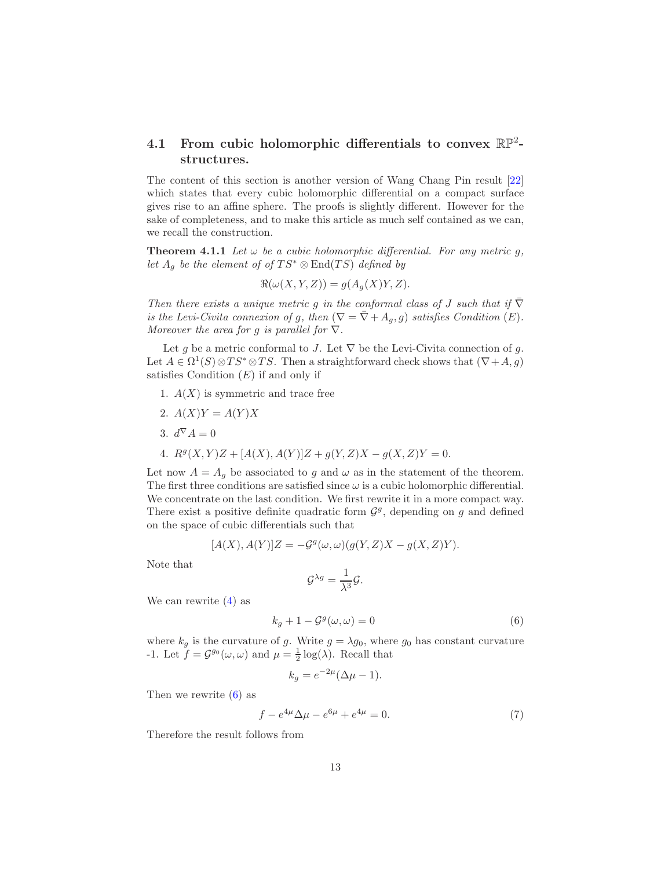### <span id="page-12-1"></span>4.1 From cubic holomorphic differentials to convex  $\mathbb{RP}^2$ structures.

The content of this section is another version of Wang Chang Pin result [\[22\]](#page-40-1) which states that every cubic holomorphic differential on a compact surface gives rise to an affine sphere. The proofs is slightly different. However for the sake of completeness, and to make this article as much self contained as we can, we recall the construction.

**Theorem 4.1.1** Let  $\omega$  be a cubic holomorphic differential. For any metric q, let  $A_g$  be the element of of  $TS^* \otimes End(TS)$  defined by

<span id="page-12-0"></span>
$$
\Re(\omega(X, Y, Z)) = g(A_g(X)Y, Z).
$$

Then there exists a unique metric g in the conformal class of J such that if  $\nabla$ is the Levi-Civita connexion of g, then  $(\nabla = \overline{\nabla} + A_q, g)$  satisfies Condition  $(E)$ . Moreover the area for g is parallel for  $\nabla$ .

Let g be a metric conformal to J. Let  $\nabla$  be the Levi-Civita connection of g. Let  $A \in \Omega^1(S) \otimes TS^* \otimes TS$ . Then a straightforward check shows that  $(\nabla + A, g)$ satisfies Condition  $(E)$  if and only if

- 1.  $A(X)$  is symmetric and trace free
- <span id="page-12-3"></span>2.  $A(X)Y = A(Y)X$ 3.  $d^{\nabla} A = 0$ 4.  $R^g(X, Y)Z + [A(X), A(Y)]Z + g(Y, Z)X - g(X, Z)Y = 0.$

Let now  $A = A_g$  be associated to g and  $\omega$  as in the statement of the theorem. The first three conditions are satisfied since  $\omega$  is a cubic holomorphic differential. We concentrate on the last condition. We first rewrite it in a more compact way. There exist a positive definite quadratic form  $\mathcal{G}^g$ , depending on g and defined on the space of cubic differentials such that

$$
[A(X), A(Y)]Z = -\mathcal{G}^g(\omega, \omega)(g(Y, Z)X - g(X, Z)Y).
$$

Note that

$$
\mathcal{G}^{\lambda g} = \frac{1}{\lambda^3} \mathcal{G}.
$$

We can rewrite  $(4)$  as

<span id="page-12-4"></span>
$$
k_g + 1 - \mathcal{G}^g(\omega, \omega) = 0 \tag{6}
$$

where  $k_g$  is the curvature of g. Write  $g = \lambda g_0$ , where  $g_0$  has constant curvature -1. Let  $f = \mathcal{G}^{g_0}(\omega, \omega)$  and  $\mu = \frac{1}{2} \log(\lambda)$ . Recall that

$$
k_g = e^{-2\mu} (\Delta \mu - 1).
$$

Then we rewrite [\(6\)](#page-12-4) as

<span id="page-12-2"></span>
$$
f - e^{4\mu} \Delta \mu - e^{6\mu} + e^{4\mu} = 0. \tag{7}
$$

Therefore the result follows from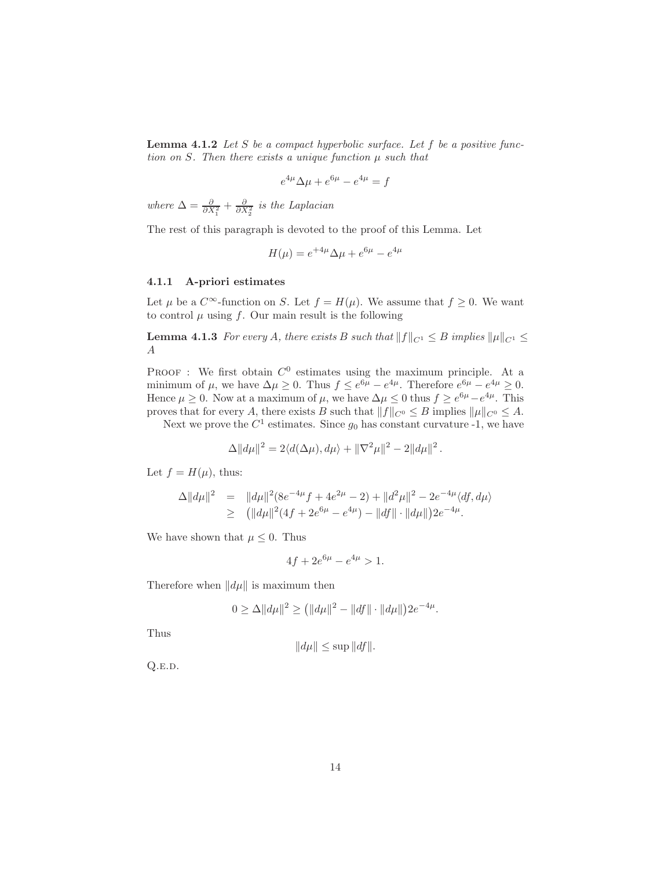**Lemma 4.1.2** Let S be a compact hyperbolic surface. Let  $f$  be a positive function on  $S$ . Then there exists a unique function  $\mu$  such that

$$
e^{4\mu} \Delta \mu + e^{6\mu} - e^{4\mu} = f
$$

where  $\Delta = \frac{\partial}{\partial X_1^2} + \frac{\partial}{\partial X_2^2}$  is the Laplacian

The rest of this paragraph is devoted to the proof of this Lemma. Let

<span id="page-13-1"></span>
$$
H(\mu) = e^{+4\mu} \Delta \mu + e^{6\mu} - e^{4\mu}
$$

#### <span id="page-13-0"></span>4.1.1 A-priori estimates

Let  $\mu$  be a  $C^{\infty}$ -function on S. Let  $f = H(\mu)$ . We assume that  $f \geq 0$ . We want to control  $\mu$  using f. Our main result is the following

**Lemma 4.1.3** For every A, there exists B such that  $||f||_{C^1} \leq B$  implies  $||\mu||_{C^1} \leq$ A

**PROOF**: We first obtain  $C^0$  estimates using the maximum principle. At a minimum of  $\mu$ , we have  $\Delta \mu \geq 0$ . Thus  $f \leq e^{6\mu} - e^{4\mu}$ . Therefore  $e^{6\mu} - e^{4\mu} \geq 0$ . Hence  $\mu \geq 0$ . Now at a maximum of  $\mu$ , we have  $\Delta \mu \leq 0$  thus  $f \geq e^{6\mu} - e^{4\mu}$ . This proves that for every A, there exists B such that  $||f||_{C^0} \leq B$  implies  $||\mu||_{C^0} \leq A$ .

Next we prove the  $C^1$  estimates. Since  $g_0$  has constant curvature -1, we have

$$
\Delta ||d\mu||^2 = 2\langle d(\Delta \mu), d\mu \rangle + ||\nabla^2 \mu||^2 - 2||d\mu||^2.
$$

Let  $f = H(\mu)$ , thus:

$$
\Delta ||d\mu||^2 = ||d\mu||^2 (8e^{-4\mu} f + 4e^{2\mu} - 2) + ||d^2\mu||^2 - 2e^{-4\mu} \langle df, d\mu \rangle
$$
  
\n
$$
\geq (||d\mu||^2 (4f + 2e^{6\mu} - e^{4\mu}) - ||df|| \cdot ||d\mu||) 2e^{-4\mu}.
$$

We have shown that  $\mu \leq 0$ . Thus

$$
4f + 2e^{6\mu} - e^{4\mu} > 1.
$$

Therefore when  $\|d\mu\|$  is maximum then

$$
0 \ge \Delta ||d\mu||^2 \ge (||d\mu||^2 - ||df|| \cdot ||d\mu||)2e^{-4\mu}.
$$

Thus

$$
||d\mu|| \le \sup ||df||.
$$

Q.e.d.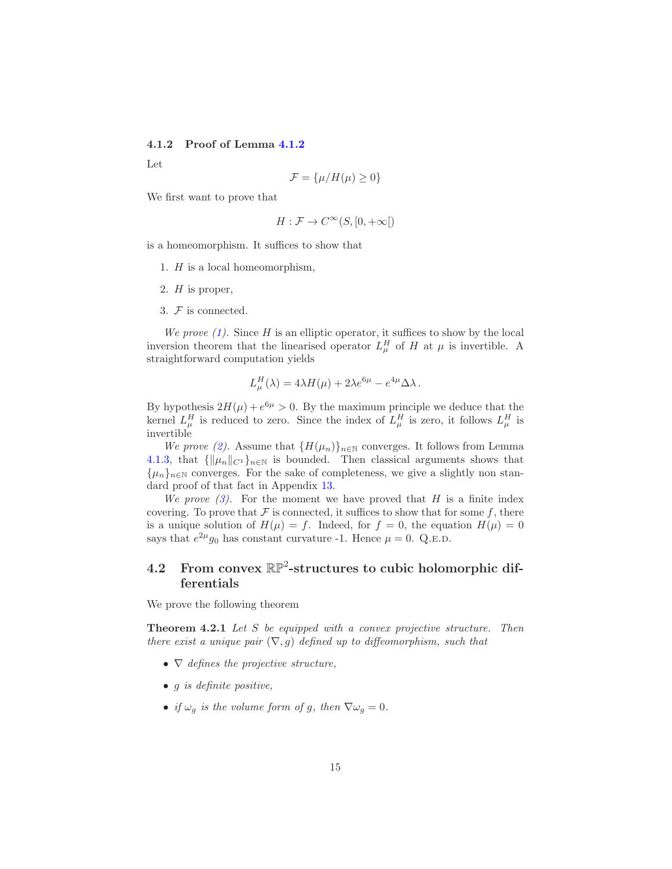### <span id="page-14-1"></span>4.1.2 Proof of Lemma [4.1.2](#page-12-2)

Let

$$
\mathcal{F} = \{\mu/H(\mu) \ge 0\}
$$

We first want to prove that

$$
H: \mathcal{F} \to C^{\infty}(S, [0, +\infty[)
$$

<span id="page-14-3"></span>is a homeomorphism. It suffices to show that

- <span id="page-14-4"></span>1. H is a local homeomorphism,
- <span id="page-14-5"></span>2.  $H$  is proper,
- 3. F is connected.

We prove  $(1)$ . Since H is an elliptic operator, it suffices to show by the local inversion theorem that the linearised operator  $L^H_\mu$  of H at  $\mu$  is invertible. A straightforward computation yields

$$
L^H_\mu(\lambda) = 4\lambda H(\mu) + 2\lambda e^{6\mu} - e^{4\mu} \Delta \lambda.
$$

By hypothesis  $2H(\mu) + e^{6\mu} > 0$ . By the maximum principle we deduce that the kernel  $L^H_\mu$  is reduced to zero. Since the index of  $L^H_\mu$  is zero, it follows  $L^H_\mu$  is invertible

We prove [\(2\)](#page-14-4). Assume that  ${H(\mu_n)}_{n\in\mathbb{N}}$  converges. It follows from Lemma [4.1.3,](#page-13-1) that  ${\|\mu_n\|_{C^1}}_{n\in\mathbb{N}}$  is bounded. Then classical arguments shows that  ${\{\mu_n\}}_{n\in\mathbb{N}}$  converges. For the sake of completeness, we give a slightly non standard proof of that fact in Appendix [13.](#page-37-0)

We prove  $(3)$ . For the moment we have proved that H is a finite index covering. To prove that  $\mathcal F$  is connected, it suffices to show that for some  $f$ , there is a unique solution of  $H(\mu) = f$ . Indeed, for  $f = 0$ , the equation  $H(\mu) = 0$ says that  $e^{2\mu}g_0$  has constant curvature -1. Hence  $\mu = 0$ . Q.E.D.

### <span id="page-14-2"></span>4.2 From convex  $\mathbb{RP}^2$ -structures to cubic holomorphic differentials

<span id="page-14-0"></span>We prove the following theorem

Theorem 4.2.1 Let S be equipped with a convex projective structure. Then there exist a unique pair  $(\nabla, g)$  defined up to diffeomorphism, such that

- $\nabla$  defines the projective structure,
- $\bullet$  g is definite positive,
- if  $\omega_g$  is the volume form of g, then  $\nabla \omega_g = 0$ .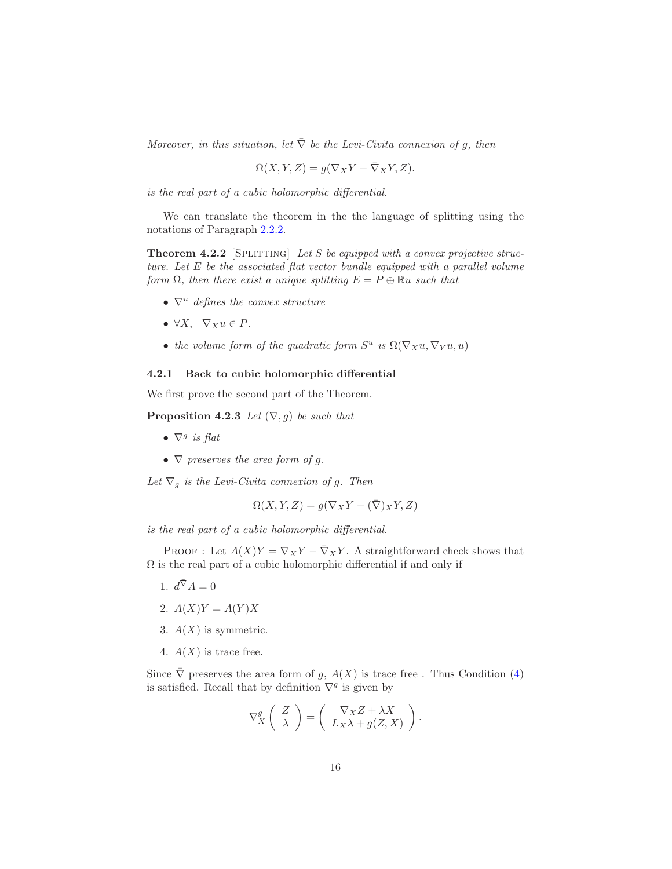Moreover, in this situation, let  $\overline{\nabla}$  be the Levi-Civita connexion of g, then

$$
\Omega(X, Y, Z) = g(\nabla_X Y - \overline{\nabla}_X Y, Z).
$$

is the real part of a cubic holomorphic differential.

<span id="page-15-5"></span>We can translate the theorem in the the language of splitting using the notations of Paragraph [2.2.2.](#page-5-0)

**Theorem 4.2.2** [SPLITTING] Let S be equipped with a convex projective structure. Let E be the associated flat vector bundle equipped with a parallel volume form  $\Omega$ , then there exist a unique splitting  $E = P \oplus \mathbb{R}u$  such that

- $\nabla^u$  defines the convex structure
- $\forall X, \ \nabla_X u \in P$ .
- the volume form of the quadratic form  $S^u$  is  $\Omega(\nabla_X u, \nabla_Y u, u)$

### <span id="page-15-0"></span>4.2.1 Back to cubic holomorphic differential

We first prove the second part of the Theorem.

**Proposition 4.2.3** Let  $(\nabla, g)$  be such that

- $\nabla^g$  is flat
- $\nabla$  preserves the area form of g.

Let  $\nabla_g$  is the Levi-Civita connexion of g. Then

$$
\Omega(X, Y, Z) = g(\nabla_X Y - (\overline{\nabla})_X Y, Z)
$$

is the real part of a cubic holomorphic differential.

<span id="page-15-4"></span>PROOF : Let  $A(X)Y = \nabla_X Y - \overline{\nabla}_X Y$ . A straightforward check shows that  $\Omega$  is the real part of a cubic holomorphic differential if and only if

- <span id="page-15-2"></span>1.  $d^{\bar{\nabla}} A = 0$
- <span id="page-15-3"></span>2.  $A(X)Y = A(Y)X$
- <span id="page-15-1"></span>3.  $A(X)$  is symmetric.
- 4.  $A(X)$  is trace free.

Since  $\overline{\nabla}$  preserves the area form of g,  $A(X)$  is trace free. Thus Condition [\(4\)](#page-15-1) is satisfied. Recall that by definition  $\nabla^g$  is given by

$$
\nabla_X^g \left( \begin{array}{c} Z \\ \lambda \end{array} \right) = \left( \begin{array}{c} \nabla_X Z + \lambda X \\ L_X \lambda + g(Z, X) \end{array} \right).
$$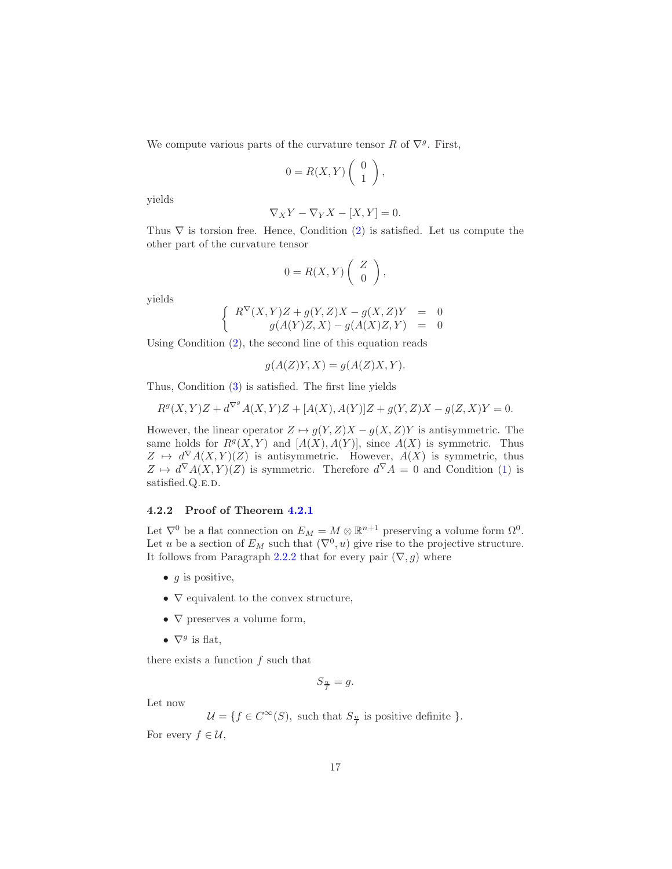We compute various parts of the curvature tensor R of  $\nabla^g$ . First,

$$
0 = R(X,Y) \left( \begin{array}{c} 0 \\ 1 \end{array} \right),
$$

yields

$$
\nabla_X Y - \nabla_Y X - [X, Y] = 0.
$$

Thus  $\nabla$  is torsion free. Hence, Condition [\(2\)](#page-15-2) is satisfied. Let us compute the other part of the curvature tensor

$$
0 = R(X,Y) \left( \begin{array}{c} Z \\ 0 \end{array} \right),
$$

yields

$$
\left\{\begin{array}{ccc}R^\nabla(X,Y)Z+g(Y,Z)X-g(X,Z)Y&=&0\\g(A(Y)Z,X)-g(A(X)Z,Y)&=&0\end{array}\right.
$$

Using Condition [\(2\)](#page-15-2), the second line of this equation reads

$$
g(A(Z)Y, X) = g(A(Z)X, Y).
$$

Thus, Condition [\(3\)](#page-15-3) is satisfied. The first line yields

$$
R^g(X,Y)Z+d^{\nabla^g}A(X,Y)Z+[A(X),A(Y)]Z+g(Y,Z)X-g(Z,X)Y=0.
$$

However, the linear operator  $Z \mapsto g(Y, Z)X - g(X, Z)Y$  is antisymmetric. The same holds for  $R^g(X, Y)$  and  $[A(X), A(Y)]$ , since  $A(X)$  is symmetric. Thus  $Z \mapsto d^{\nabla} A(X,Y)(Z)$  is antisymmetric. However,  $A(X)$  is symmetric, thus  $Z \mapsto d^{\nabla} A(X,Y)(Z)$  is symmetric. Therefore  $d^{\nabla} A = 0$  and Condition [\(1\)](#page-15-4) is satisfied.Q.E.D.

### <span id="page-16-0"></span>4.2.2 Proof of Theorem [4.2.1](#page-14-0)

Let  $\nabla^0$  be a flat connection on  $E_M = M \otimes \mathbb{R}^{n+1}$  preserving a volume form  $\Omega^0$ . Let u be a section of  $E_M$  such that  $(\nabla^0, u)$  give rise to the projective structure. It follows from Paragraph [2.2.2](#page-5-0) that for every pair  $(\nabla, g)$  where

- $g$  is positive,
- $\nabla$  equivalent to the convex structure,
- $\nabla$  preserves a volume form,
- $\nabla^g$  is flat,

there exists a function  $f$  such that

$$
S_{\frac{u}{f}} = g.
$$

Let now

 $\mathcal{U} = \{f \in C^{\infty}(S), \text{ such that } S_{\frac{u}{f}} \text{ is positive definite } \}.$ 

For every  $f \in \mathcal{U}$ ,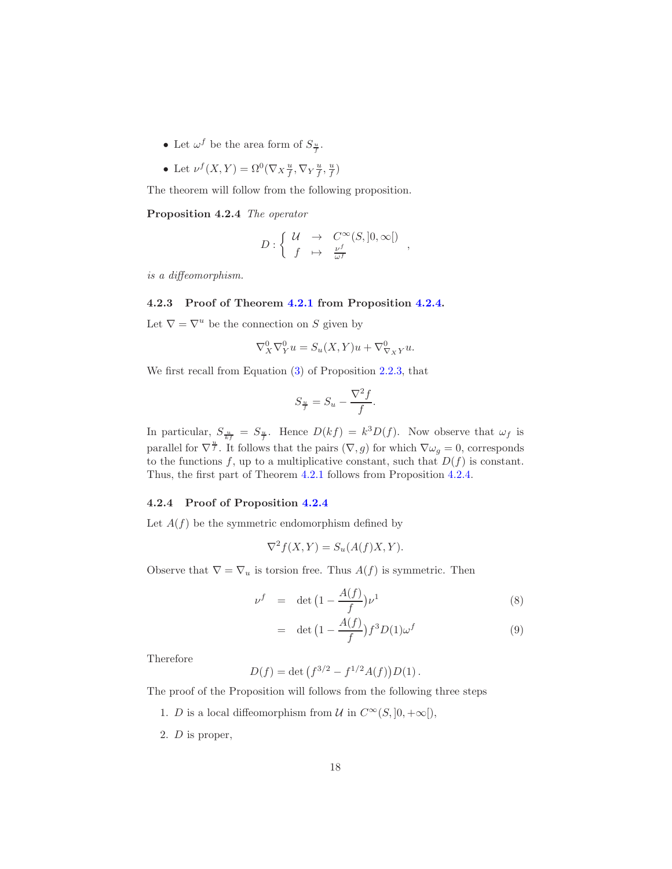- Let  $\omega^f$  be the area form of  $S_{\frac{u}{f}}$ .
- Let  $\nu^f(X, Y) = \Omega^0(\nabla_X \frac{u}{f}, \nabla_Y \frac{u}{f}, \frac{u}{f})$

<span id="page-17-0"></span>The theorem will follow from the following proposition.

Proposition 4.2.4 The operator

$$
D: \left\{ \begin{array}{ccc} \mathcal{U} & \to & C^{\infty}(S,]0,\infty[) \\ f & \mapsto & \frac{\nu^f}{\omega^f} \end{array} \right.,
$$

is a diffeomorphism.

#### <span id="page-17-1"></span>4.2.3 Proof of Theorem [4.2.1](#page-14-0) from Proposition [4.2.4.](#page-17-0)

Let  $\nabla = \nabla^u$  be the connection on S given by

$$
\nabla_X^0 \nabla_Y^0 u = S_u(X, Y)u + \nabla_{\nabla_X Y}^0 u.
$$

We first recall from Equation [\(3\)](#page-6-0) of Proposition [2.2.3,](#page-6-1) that

$$
S_{\frac{u}{f}} = S_u - \frac{\nabla^2 f}{f}.
$$

In particular,  $S_{\frac{u}{kf}} = S_{\frac{u}{f}}$ . Hence  $D(kf) = k^3 D(f)$ . Now observe that  $\omega_f$  is parallel for  $\nabla^{\frac{n}{f}}$ . It follows that the pairs  $(\nabla, g)$  for which  $\nabla \omega_g = 0$ , corresponds to the functions f, up to a multiplicative constant, such that  $D(f)$  is constant. Thus, the first part of Theorem [4.2.1](#page-14-0) follows from Proposition [4.2.4.](#page-17-0)

#### <span id="page-17-2"></span>4.2.4 Proof of Proposition [4.2.4](#page-17-0)

Let  $A(f)$  be the symmetric endomorphism defined by

$$
\nabla^2 f(X, Y) = S_u(A(f)X, Y).
$$

Observe that  $\nabla = \nabla_u$  is torsion free. Thus  $A(f)$  is symmetric. Then

$$
\nu^f = \det \left( 1 - \frac{A(f)}{f} \right) \nu^1 \tag{8}
$$

$$
= \det \left(1 - \frac{A(f)}{f}\right) f^3 D(1) \omega^f \tag{9}
$$

Therefore

$$
D(f) = \det (f^{3/2} - f^{1/2}A(f))D(1).
$$

The proof of the Proposition will follows from the following three steps

- 1. D is a local diffeomorphism from U in  $C^{\infty}(S, ]0, +\infty[$ ,
- 2. D is proper,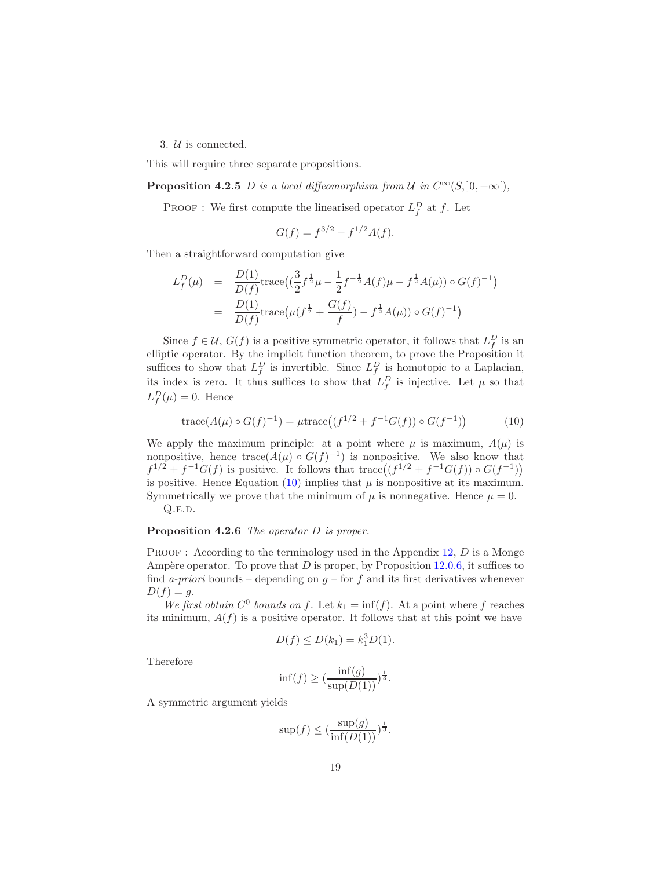3. U is connected.

This will require three separate propositions.

**Proposition 4.2.5** D is a local diffeomorphism from U in  $C^{\infty}(S, ]0, +\infty[$ ,

**PROOF**: We first compute the linearised operator  $L_f^D$  at f. Let

$$
G(f) = f^{3/2} - f^{1/2}A(f).
$$

Then a straightforward computation give

$$
L_f^D(\mu) = \frac{D(1)}{D(f)} \text{trace}\left((\frac{3}{2}f^{\frac{1}{2}}\mu - \frac{1}{2}f^{-\frac{1}{2}}A(f)\mu - f^{\frac{1}{2}}A(\mu)\right) \circ G(f)^{-1}\right)
$$
  
= 
$$
\frac{D(1)}{D(f)} \text{trace}\left(\mu(f^{\frac{1}{2}} + \frac{G(f)}{f}) - f^{\frac{1}{2}}A(\mu)\right) \circ G(f)^{-1}\right)
$$

Since  $f \in \mathcal{U}$ ,  $G(f)$  is a positive symmetric operator, it follows that  $L_f^D$  is an elliptic operator. By the implicit function theorem, to prove the Proposition it suffices to show that  $L_f^D$  is invertible. Since  $L_f^D$  is homotopic to a Laplacian, its index is zero. It thus suffices to show that  $L_f^D$  is injective. Let  $\mu$  so that  $L_f^D(\mu) = 0$ . Hence

<span id="page-18-0"></span>trace
$$
(A(\mu) \circ G(f)^{-1}) = \mu \text{trace}((f^{1/2} + f^{-1}G(f)) \circ G(f^{-1}))
$$
 (10)

We apply the maximum principle: at a point where  $\mu$  is maximum,  $A(\mu)$  is nonpositive, hence trace $(A(\mu) \circ G(f)^{-1})$  is nonpositive. We also know that  $f^{1/2} + f^{-1}G(f)$  is positive. It follows that trace  $((f^{1/2} + f^{-1}G(f)) \circ G(f^{-1}))$ is positive. Hence Equation [\(10\)](#page-18-0) implies that  $\mu$  is nonpositive at its maximum. Symmetrically we prove that the minimum of  $\mu$  is nonnegative. Hence  $\mu = 0$ .  $Q.E.D.$ 

Proposition 4.2.6 The operator D is proper.

**PROOF** : According to the terminology used in the Appendix [12,](#page-35-0)  $D$  is a Monge Ampère operator. To prove that  $D$  is proper, by Proposition [12.0.6,](#page-35-1) it suffices to find a-priori bounds – depending on  $g$  – for f and its first derivatives whenever  $D(f) = g.$ 

We first obtain  $C^0$  bounds on f. Let  $k_1 = \inf(f)$ . At a point where f reaches its minimum,  $A(f)$  is a positive operator. It follows that at this point we have

$$
D(f) \le D(k_1) = k_1^3 D(1).
$$

Therefore

$$
\inf(f) \ge \left(\frac{\inf(g)}{\sup(D(1))}\right)^{\frac{1}{3}}.
$$

A symmetric argument yields

$$
\sup(f) \le \left(\frac{\sup(g)}{\inf(D(1))}\right)^{\frac{1}{3}}.
$$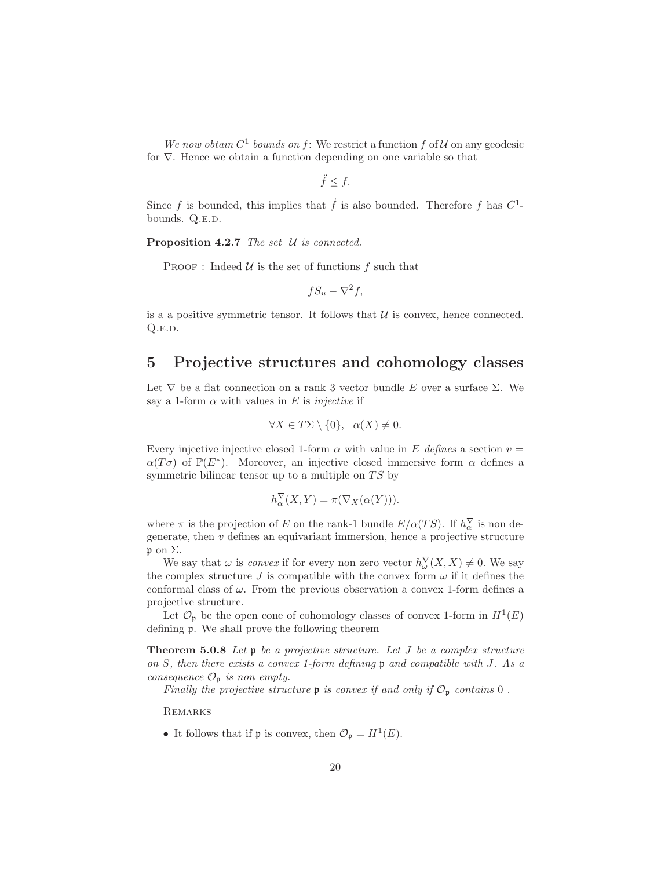We now obtain  $C^1$  bounds on f: We restrict a function f of U on any geodesic for ∇. Hence we obtain a function depending on one variable so that

$$
\ddot{f} \leq f.
$$

Since f is bounded, this implies that  $\dot{f}$  is also bounded. Therefore f has  $C^1$ bounds. Q.E.D.

Proposition 4.2.7 The set U is connected.

PROOF : Indeed  $\mathcal U$  is the set of functions  $f$  such that

$$
fS_u - \nabla^2 f,
$$

is a a positive symmetric tensor. It follows that  $\mathcal U$  is convex, hence connected.  $Q.E.D.$ 

## <span id="page-19-0"></span>5 Projective structures and cohomology classes

Let  $\nabla$  be a flat connection on a rank 3 vector bundle E over a surface  $\Sigma$ . We say a 1-form  $\alpha$  with values in E is *injective* if

$$
\forall X \in T\Sigma \setminus \{0\}, \ \alpha(X) \neq 0.
$$

Every injective injective closed 1-form  $\alpha$  with value in E defines a section  $v =$  $\alpha(T\sigma)$  of  $\mathbb{P}(E^*)$ . Moreover, an injective closed immersive form  $\alpha$  defines a symmetric bilinear tensor up to a multiple on  $TS$  by

<span id="page-19-1"></span>
$$
h^{\nabla}_{\alpha}(X,Y) = \pi(\nabla_X(\alpha(Y))).
$$

where  $\pi$  is the projection of E on the rank-1 bundle  $E/\alpha(TS)$ . If  $h^{\nabla}_{\alpha}$  is non degenerate, then  $v$  defines an equivariant immersion, hence a projective structure  $\mathfrak p$  on  $\Sigma$ .

We say that  $\omega$  is *convex* if for every non zero vector  $h_{\omega}^{\nabla}(X, X) \neq 0$ . We say the complex structure J is compatible with the convex form  $\omega$  if it defines the conformal class of  $\omega$ . From the previous observation a convex 1-form defines a projective structure.

Let  $\mathcal{O}_{\mathfrak{p}}$  be the open cone of cohomology classes of convex 1-form in  $H^1(E)$ defining p. We shall prove the following theorem

**Theorem 5.0.8** Let  $\mathfrak{p}$  be a projective structure. Let  $J$  be a complex structure on S, then there exists a convex 1-form defining p and compatible with J. As a consequence  $\mathcal{O}_{\mathfrak{p}}$  is non empty.

Finally the projective structure  $\mathfrak p$  is convex if and only if  $\mathcal O_{\mathfrak p}$  contains  $0$ .

**REMARKS** 

• It follows that if  $\mathfrak p$  is convex, then  $\mathcal O_{\mathfrak p} = H^1(E)$ .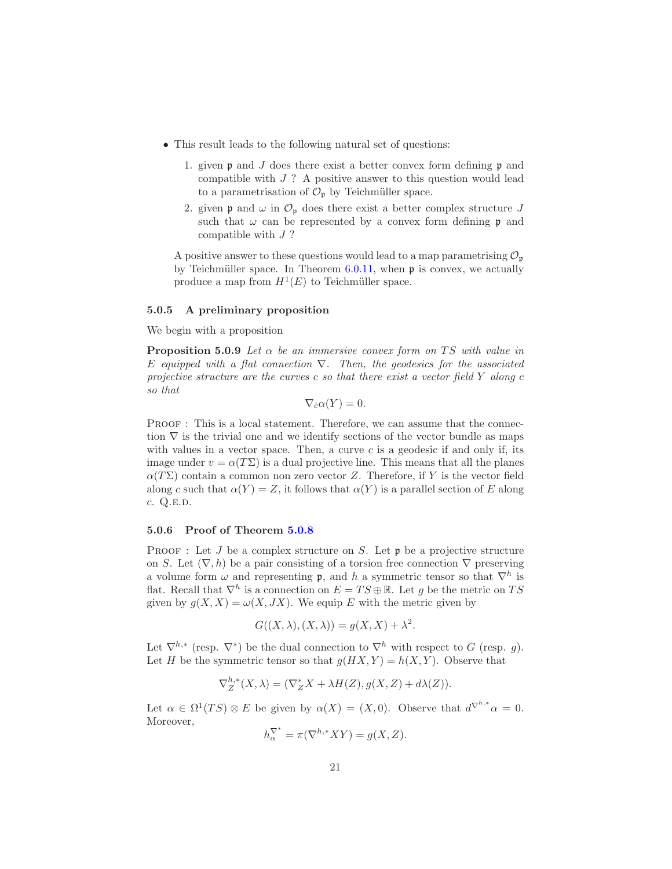- This result leads to the following natural set of questions:
	- 1. given  $\mathfrak p$  and J does there exist a better convex form defining  $\mathfrak p$  and compatible with  $J$  ? A positive answer to this question would lead to a parametrisation of  $\mathcal{O}_{\mathfrak{p}}$  by Teichmüller space.
	- 2. given  $\mathfrak p$  and  $\omega$  in  $\mathcal O_{\mathfrak p}$  does there exist a better complex structure J such that  $\omega$  can be represented by a convex form defining p and compatible with J ?

A positive answer to these questions would lead to a map parametrising  $\mathcal{O}_n$ by Teichmüller space. In Theorem  $6.0.11$ , when  $\mathfrak p$  is convex, we actually produce a map from  $H^1(E)$  to Teichmüller space.

#### <span id="page-20-0"></span>5.0.5 A preliminary proposition

We begin with a proposition

**Proposition 5.0.9** Let  $\alpha$  be an immersive convex form on TS with value in E equipped with a flat connection  $\nabla$ . Then, the geodesics for the associated projective structure are the curves c so that there exist a vector field Y along c so that

<span id="page-20-2"></span>
$$
\nabla_{\dot{c}}\alpha(Y)=0.
$$

PROOF : This is a local statement. Therefore, we can assume that the connection  $\nabla$  is the trivial one and we identify sections of the vector bundle as maps with values in a vector space. Then, a curve  $c$  is a geodesic if and only if, its image under  $v = \alpha(T\Sigma)$  is a dual projective line. This means that all the planes  $\alpha(T\Sigma)$  contain a common non zero vector Z. Therefore, if Y is the vector field along c such that  $\alpha(Y) = Z$ , it follows that  $\alpha(Y)$  is a parallel section of E along  $c. Q.E.D.$ 

### <span id="page-20-1"></span>5.0.6 Proof of Theorem [5.0.8](#page-19-1)

**PROOF**: Let J be a complex structure on S. Let  $\mathfrak{p}$  be a projective structure on S. Let  $(\nabla, h)$  be a pair consisting of a torsion free connection  $\nabla$  preserving a volume form  $\omega$  and representing **p**, and h a symmetric tensor so that  $\nabla^h$  is flat. Recall that  $\nabla^h$  is a connection on  $E = TS \oplus \mathbb{R}$ . Let g be the metric on TS given by  $g(X, X) = \omega(X, JX)$ . We equip E with the metric given by

$$
G((X, \lambda), (X, \lambda)) = g(X, X) + \lambda^{2}.
$$

Let  $\nabla^{h,*}$  (resp.  $\nabla^*)$  be the dual connection to  $\nabla^h$  with respect to G (resp. g). Let H be the symmetric tensor so that  $q(HX, Y) = h(X, Y)$ . Observe that

$$
\nabla_Z^{h,*}(X,\lambda) = (\nabla_Z^* X + \lambda H(Z), g(X,Z) + d\lambda(Z)).
$$

Let  $\alpha \in \Omega^1(TS) \otimes E$  be given by  $\alpha(X) = (X, 0)$ . Observe that  $d^{\nabla^{h,*}} \alpha = 0$ . Moreover,

$$
h_{\alpha}^{\nabla^*} = \pi(\nabla^{h,*}XY) = g(X, Z).
$$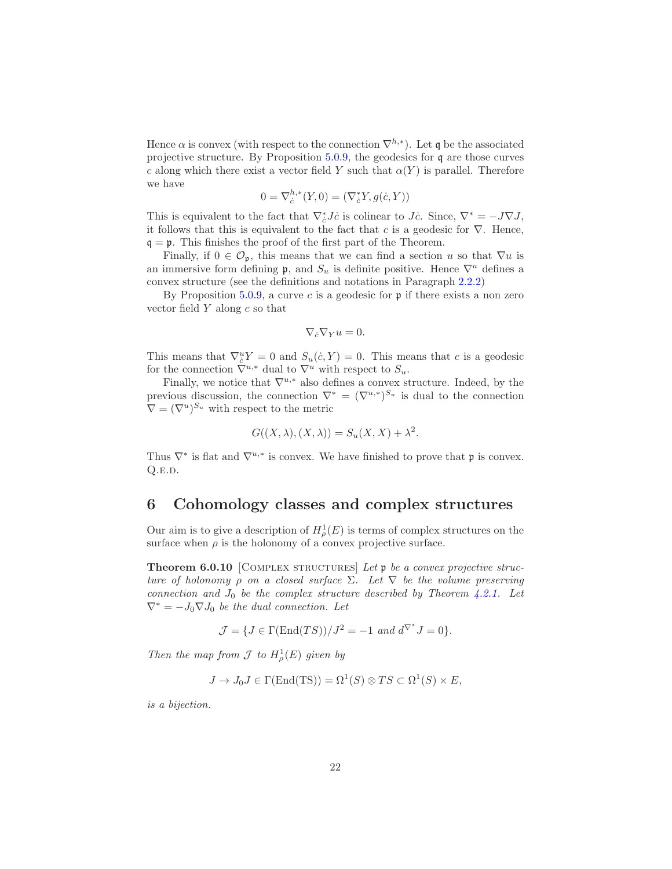Hence  $\alpha$  is convex (with respect to the connection  $\nabla^{h,*}$ ). Let q be the associated projective structure. By Proposition [5.0.9,](#page-20-2) the geodesics for q are those curves c along which there exist a vector field Y such that  $\alpha(Y)$  is parallel. Therefore we have

$$
0 = \nabla_{\dot{c}}^{h,*}(Y,0) = (\nabla_{\dot{c}}^* Y, g(\dot{c}, Y))
$$

This is equivalent to the fact that  $\nabla_{\dot{c}}^* J \dot{c}$  is colinear to  $J \dot{c}$ . Since,  $\nabla^* = -J\nabla J$ , it follows that this is equivalent to the fact that c is a geodesic for  $\nabla$ . Hence,  $q = \mathfrak{p}$ . This finishes the proof of the first part of the Theorem.

Finally, if  $0 \in \mathcal{O}_{p}$ , this means that we can find a section u so that  $\nabla u$  is an immersive form defining  $\mathfrak{p}$ , and  $S_u$  is definite positive. Hence  $\nabla^u$  defines a convex structure (see the definitions and notations in Paragraph [2.2.2\)](#page-5-0)

By Proposition  $5.0.9$ , a curve c is a geodesic for  $\mathfrak p$  if there exists a non zero vector field  $Y$  along  $c$  so that

$$
\nabla_{\dot{c}} \nabla_{Y} u = 0.
$$

This means that  $\nabla^u_{\dot{c}} Y = 0$  and  $S_u(\dot{c}, Y) = 0$ . This means that c is a geodesic for the connection  $\nabla^{u,*}$  dual to  $\nabla^u$  with respect to  $S_u$ .

Finally, we notice that  $\nabla^{u,*}$  also defines a convex structure. Indeed, by the previous discussion, the connection  $\nabla^* = (\nabla^{u,*})^{S_u}$  is dual to the connection  $\nabla = (\nabla^u)^{S_u}$  with respect to the metric

$$
G((X, \lambda), (X, \lambda)) = S_u(X, X) + \lambda^2.
$$

Thus  $\nabla^*$  is flat and  $\nabla^{u,*}$  is convex. We have finished to prove that  $\mathfrak p$  is convex.  $Q.E.D.$ 

### <span id="page-21-1"></span>6 Cohomology classes and complex structures

<span id="page-21-0"></span>Our aim is to give a description of  $H^1_\rho(E)$  is terms of complex structures on the surface when  $\rho$  is the holonomy of a convex projective surface.

**Theorem 6.0.10** [COMPLEX STRUCTURES] Let  $\mathfrak{p}$  be a convex projective structure of holonomy  $\rho$  on a closed surface  $\Sigma$ . Let  $\nabla$  be the volume preserving connection and  $J_0$  be the complex structure described by Theorem [4.2.1.](#page-14-0) Let  $\nabla^* = -J_0 \nabla J_0$  be the dual connection. Let

$$
\mathcal{J} = \{ J \in \Gamma(\text{End}(TS)) / J^2 = -1 \text{ and } d^{\nabla^*} J = 0 \}.
$$

Then the map from  $\mathcal J$  to  $H^1_\rho(E)$  given by

$$
J \to J_0 J \in \Gamma(\text{End(TS)}) = \Omega^1(S) \otimes TS \subset \Omega^1(S) \times E,
$$

is a bijection.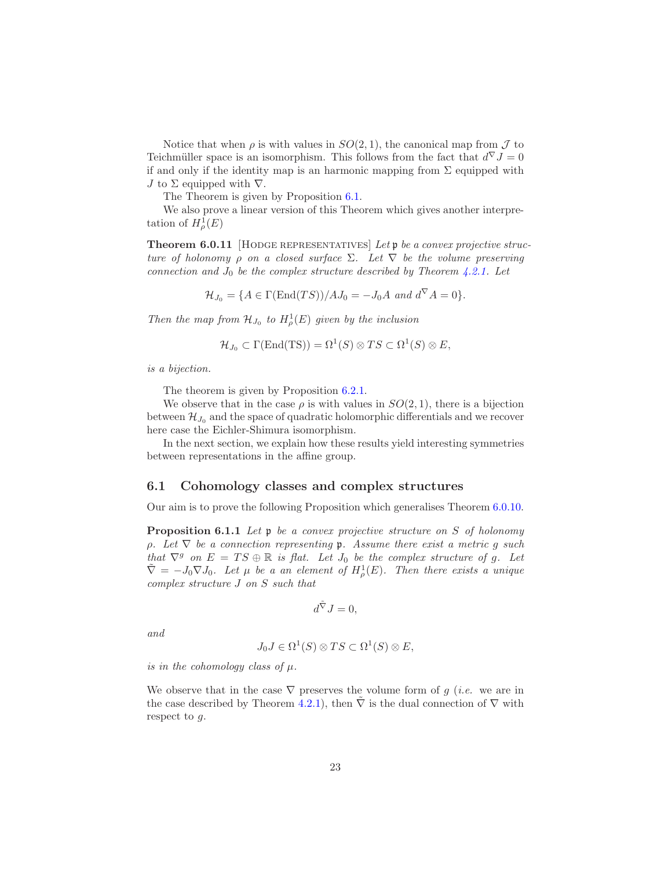Notice that when  $\rho$  is with values in  $SO(2,1)$ , the canonical map from  $\mathcal J$  to Teichmüller space is an isomorphism. This follows from the fact that  $d^{\nabla} J = 0$ if and only if the identity map is an harmonic mapping from  $\Sigma$  equipped with J to  $\Sigma$  equipped with  $\nabla$ .

<span id="page-22-0"></span>The Theorem is given by Proposition [6.1.](#page-22-1)

We also prove a linear version of this Theorem which gives another interpretation of  $H^1_\rho(E)$ 

**Theorem 6.0.11** [HODGE REPRESENTATIVES] Let  $\mathfrak{p}$  be a convex projective structure of holonomy  $\rho$  on a closed surface  $\Sigma$ . Let  $\nabla$  be the volume preserving connection and  $J_0$  be the complex structure described by Theorem [4.2.1.](#page-14-0) Let

$$
\mathcal{H}_{J_0} = \{ A \in \Gamma(\text{End}(TS)) / A J_0 = -J_0 A \text{ and } d^{\nabla} A = 0 \}.
$$

Then the map from  $\mathcal{H}_{J_0}$  to  $H^1_\rho(E)$  given by the inclusion

$$
\mathcal{H}_{J_0} \subset \Gamma(\text{End(TS)}) = \Omega^1(S) \otimes TS \subset \Omega^1(S) \otimes E,
$$

is a bijection.

The theorem is given by Proposition [6.2.1.](#page-25-1)

We observe that in the case  $\rho$  is with values in  $SO(2,1)$ , there is a bijection between  $\mathcal{H}_{J_0}$  and the space of quadratic holomorphic differentials and we recover here case the Eichler-Shimura isomorphism.

In the next section, we explain how these results yield interesting symmetries between representations in the affine group.

#### <span id="page-22-1"></span>6.1 Cohomology classes and complex structures

Our aim is to prove the following Proposition which generalises Theorem [6.0.10.](#page-21-0)

Proposition 6.1.1 Let p be a convex projective structure on S of holonomy  $\rho$ . Let  $\nabla$  be a connection representing p. Assume there exist a metric g such that  $\nabla^g$  on  $E = TS \oplus \mathbb{R}$  is flat. Let  $J_0$  be the complex structure of g. Let  $\tilde{\nabla} = -J_0 \nabla J_0$ . Let  $\mu$  be a an element of  $H^1_\rho(E)$ . Then there exists a unique complex structure J on S such that

$$
d^{\tilde{\nabla}}J=0,
$$

and

$$
J_0J \in \Omega^1(S) \otimes TS \subset \Omega^1(S) \otimes E,
$$

is in the cohomology class of  $\mu$ .

We observe that in the case  $\nabla$  preserves the volume form of g (*i.e.* we are in the case described by Theorem [4.2.1\)](#page-14-0), then  $\nabla$  is the dual connection of  $\nabla$  with respect to g.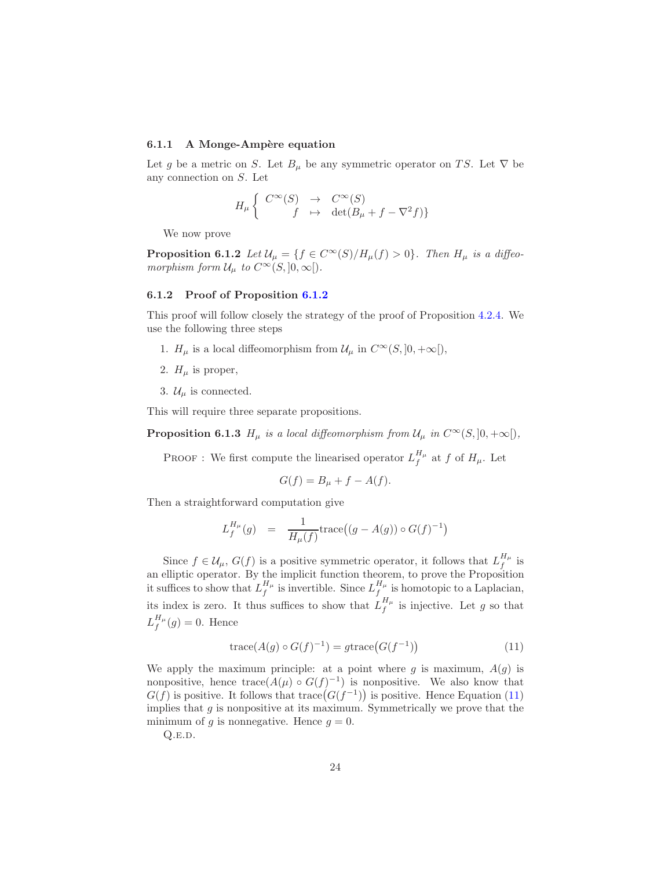### <span id="page-23-0"></span>6.1.1 A Monge-Ampère equation

Let g be a metric on S. Let  $B_\mu$  be any symmetric operator on TS. Let  $\nabla$  be any connection on S. Let

<span id="page-23-1"></span>
$$
H_\mu \left\{ \begin{array}{rcl} C^\infty(S) & \to & C^\infty(S) \\ f & \mapsto & \det(B_\mu + f - \nabla^2 f) \} \end{array} \right.
$$

We now prove

**Proposition 6.1.2** Let  $\mathcal{U}_{\mu} = \{f \in C^{\infty}(S)/H_{\mu}(f) > 0\}$ . Then  $H_{\mu}$  is a diffeomorphism form  $\mathcal{U}_{\mu}$  to  $C^{\infty}(S, ]0, \infty[$ .

#### <span id="page-23-2"></span>6.1.2 Proof of Proposition [6.1.2](#page-23-1)

This proof will follow closely the strategy of the proof of Proposition [4.2.4.](#page-17-0) We use the following three steps

- 1.  $H_{\mu}$  is a local diffeomorphism from  $\mathcal{U}_{\mu}$  in  $C^{\infty}(S, ]0, +\infty[$ ,
- 2.  $H_u$  is proper,
- 3.  $\mathcal{U}_{\mu}$  is connected.

<span id="page-23-4"></span>This will require three separate propositions.

**Proposition 6.1.3**  $H_{\mu}$  is a local diffeomorphism from  $\mathcal{U}_{\mu}$  in  $C^{\infty}(S, ]0, +\infty[$ ,

**PROOF** : We first compute the linearised operator  $L_f^{H_\mu}$  $f^{\mu\mu}_{f}$  at f of  $H_{\mu}$ . Let

$$
G(f) = B_{\mu} + f - A(f).
$$

Then a straightforward computation give

$$
L_f^{H_\mu}(g) = \frac{1}{H_\mu(f)} \text{trace}\big((g - A(g)) \circ G(f)^{-1}\big)
$$

Since  $f \in \mathcal{U}_{\mu}$ ,  $G(f)$  is a positive symmetric operator, it follows that  $L_f^{H_{\mu}}$  $\int f^{\mu}$  is an elliptic operator. By the implicit function theorem, to prove the Proposition it suffices to show that  $L_f^{H_\mu}$  $\frac{H_{\mu}}{f}$  is invertible. Since  $L_f^{H_{\mu}}$  $\int_{f}^{H_{\mu}}$  is homotopic to a Laplacian, its index is zero. It thus suffices to show that  $L_f^{H_\mu}$  $\int_{f}^{H_{\mu}}$  is injective. Let g so that  $L^{H_\mu}_f$  $f^{\mu \mu}(g) = 0$ . Hence

<span id="page-23-3"></span>
$$
trace(A(g) \circ G(f)^{-1}) = gtrace(G(f^{-1}))
$$
\n(11)

We apply the maximum principle: at a point where  $g$  is maximum,  $A(g)$  is nonpositive, hence  $trace(A(\mu) \circ G(f)^{-1})$  is nonpositive. We also know that  $G(f)$  is positive. It follows that trace  $(G(f^{-1}))$  is positive. Hence Equation [\(11\)](#page-23-3) implies that  $g$  is nonpositive at its maximum. Symmetrically we prove that the minimum of g is nonnegative. Hence  $g = 0$ .

 $Q.E.D.$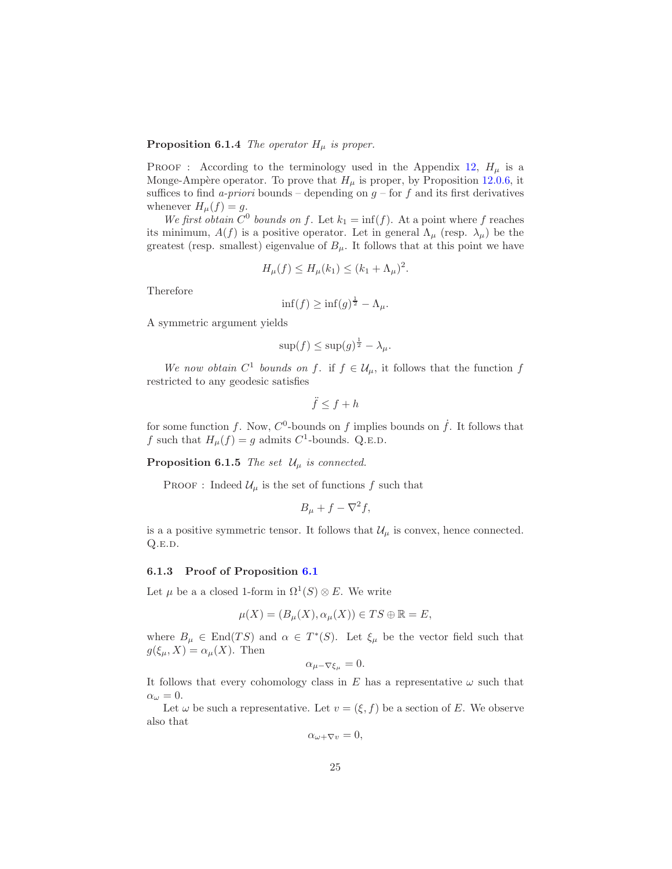### **Proposition 6.1.4** The operator  $H_{\mu}$  is proper.

**PROOF** : According to the terminology used in the Appendix [12,](#page-35-0)  $H_{\mu}$  is a Monge-Ampère operator. To prove that  $H_\mu$  is proper, by Proposition [12.0.6,](#page-35-1) it suffices to find a-priori bounds – depending on  $g$  – for f and its first derivatives whenever  $H_{\mu}(f) = g$ .

We first obtain  $C^0$  bounds on f. Let  $k_1 = \inf(f)$ . At a point where f reaches its minimum,  $A(f)$  is a positive operator. Let in general  $\Lambda_{\mu}$  (resp.  $\lambda_{\mu}$ ) be the greatest (resp. smallest) eigenvalue of  $B_{\mu}$ . It follows that at this point we have

$$
H_{\mu}(f) \le H_{\mu}(k_1) \le (k_1 + \Lambda_{\mu})^2.
$$

Therefore

$$
\inf(f) \ge \inf(g)^{\frac{1}{2}} - \Lambda_{\mu}.
$$

A symmetric argument yields

$$
\sup(f) \le \sup(g)^{\frac{1}{2}} - \lambda_{\mu}.
$$

We now obtain  $C^1$  bounds on f. if  $f \in \mathcal{U}_{\mu}$ , it follows that the function f restricted to any geodesic satisfies

$$
\ddot{f} \le f + h
$$

for some function f. Now,  $C^0$ -bounds on f implies bounds on f. It follows that f such that  $H_{\mu}(f) = g$  admits  $C^1$ -bounds. Q.E.D.

**Proposition 6.1.5** The set  $\mathcal{U}_{\mu}$  is connected.

PROOF : Indeed  $\mathcal{U}_{\mu}$  is the set of functions f such that

$$
B_{\mu} + f - \nabla^2 f,
$$

is a a positive symmetric tensor. It follows that  $\mathcal{U}_{\mu}$  is convex, hence connected.  $Q.E.D.$ 

#### <span id="page-24-0"></span>6.1.3 Proof of Proposition [6.1](#page-22-1)

Let  $\mu$  be a a closed 1-form in  $\Omega^1(S) \otimes E$ . We write

$$
\mu(X) = (B_{\mu}(X), \alpha_{\mu}(X)) \in TS \oplus \mathbb{R} = E,
$$

where  $B_{\mu} \in \text{End}(TS)$  and  $\alpha \in T^*(S)$ . Let  $\xi_{\mu}$  be the vector field such that  $g(\xi_{\mu}, X) = \alpha_{\mu}(X)$ . Then

 $\alpha_{\mu-\nabla\xi_{\mu}}=0.$ 

It follows that every cohomology class in  $E$  has a representative  $\omega$  such that  $\alpha_{\omega}=0.$ 

Let  $\omega$  be such a representative. Let  $v = (\xi, f)$  be a section of E. We observe also that

 $\alpha_{\omega+\nabla v}=0,$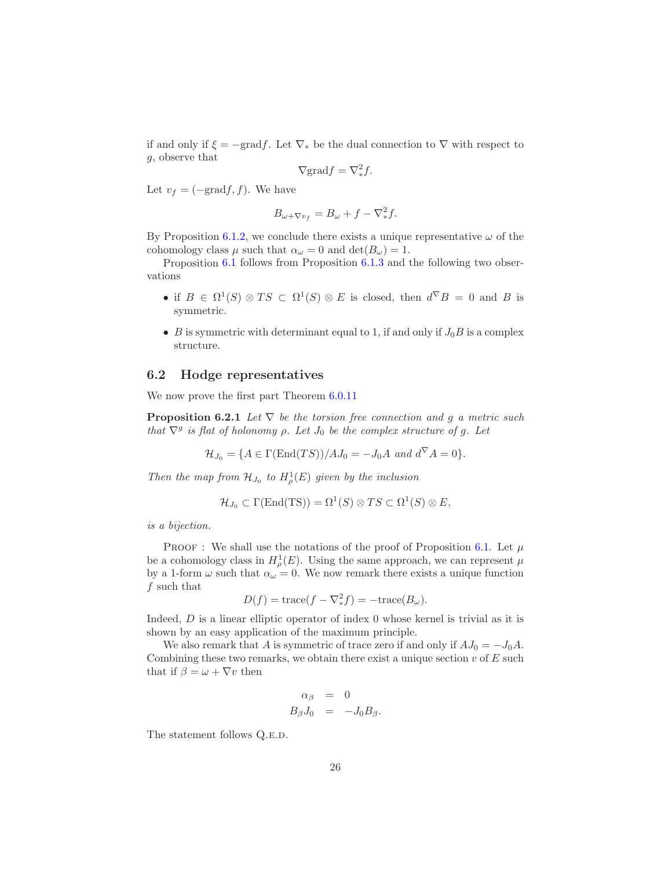if and only if  $\xi = -\text{grad} f$ . Let  $\nabla_*$  be the dual connection to  $\nabla$  with respect to g, observe that

$$
\nabla \text{grad} f = \nabla^2_* f.
$$

Let  $v_f = (-\text{grad} f, f)$ . We have

$$
B_{\omega+\nabla v_f} = B_{\omega} + f - \nabla_*^2 f.
$$

By Proposition [6.1.2,](#page-23-1) we conclude there exists a unique representative  $\omega$  of the cohomology class  $\mu$  such that  $\alpha_{\omega} = 0$  and  $\det(B_{\omega}) = 1$ .

Proposition [6.1](#page-22-1) follows from Proposition [6.1.3](#page-23-4) and the following two observations

- if  $B \in \Omega^1(S) \otimes TS \subset \Omega^1(S) \otimes E$  is closed, then  $d^{\nabla}B = 0$  and B is symmetric.
- B is symmetric with determinant equal to 1, if and only if  $J_0B$  is a complex structure.

### <span id="page-25-0"></span>6.2 Hodge representatives

We now prove the first part Theorem [6.0.11](#page-22-0)

**Proposition 6.2.1** Let  $\nabla$  be the torsion free connection and g a metric such that  $\nabla^g$  is flat of holonomy  $\rho$ . Let  $J_0$  be the complex structure of g. Let

<span id="page-25-1"></span>
$$
\mathcal{H}_{J_0} = \{ A \in \Gamma(\text{End}(TS)) / AJ_0 = -J_0 A \text{ and } d^{\nabla} A = 0 \}.
$$

Then the map from  $\mathcal{H}_{J_0}$  to  $H^1_\rho(E)$  given by the inclusion

$$
\mathcal{H}_{J_0} \subset \Gamma(\text{End}(TS)) = \Omega^1(S) \otimes TS \subset \Omega^1(S) \otimes E,
$$

is a bijection.

PROOF : We shall use the notations of the proof of Proposition [6.1.](#page-22-1) Let  $\mu$ be a cohomology class in  $H^1_\rho(E)$ . Using the same approach, we can represent  $\mu$ by a 1-form  $\omega$  such that  $\alpha_{\omega} = 0$ . We now remark there exists a unique function f such that

$$
D(f) = \text{trace}(f - \nabla^2 * f) = -\text{trace}(B_\omega).
$$

Indeed, D is a linear elliptic operator of index 0 whose kernel is trivial as it is shown by an easy application of the maximum principle.

We also remark that A is symmetric of trace zero if and only if  $AJ_0 = -J_0A$ . Combining these two remarks, we obtain there exist a unique section  $v$  of  $E$  such that if  $\beta = \omega + \nabla v$  then

$$
\alpha_{\beta} = 0
$$
  

$$
B_{\beta}J_0 = -J_0B_{\beta}.
$$

The statement follows Q.E.D.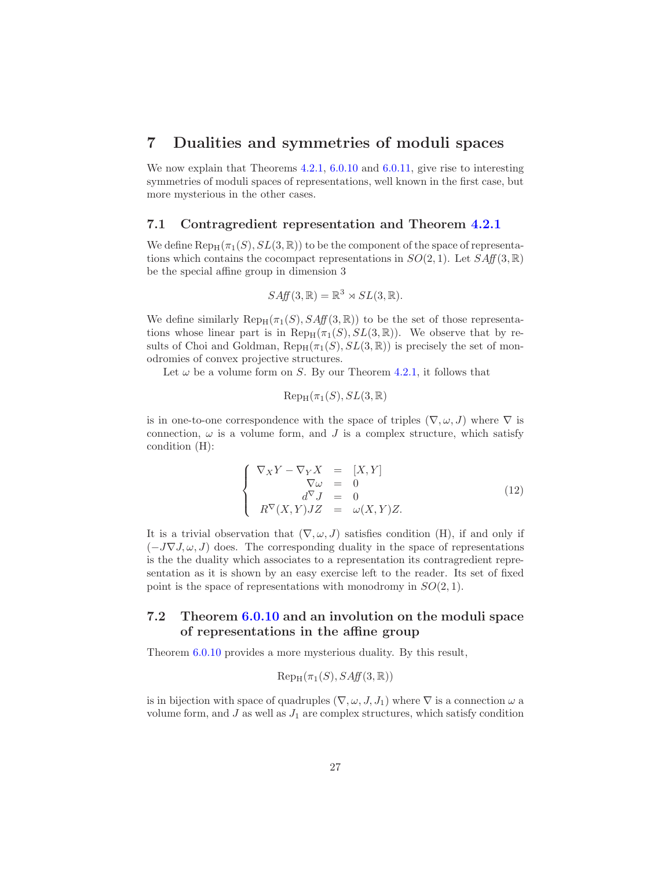### <span id="page-26-0"></span>7 Dualities and symmetries of moduli spaces

We now explain that Theorems  $4.2.1$ ,  $6.0.10$  and  $6.0.11$ , give rise to interesting symmetries of moduli spaces of representations, well known in the first case, but more mysterious in the other cases.

### <span id="page-26-1"></span>7.1 Contragredient representation and Theorem [4.2.1](#page-14-0)

We define  $\text{Rep}_{H}(\pi_1(S), SL(3, \mathbb{R}))$  to be the component of the space of representations which contains the cocompact representations in  $SO(2, 1)$ . Let  $SAff(3, \mathbb{R})$ be the special affine group in dimension 3

$$
SAff(3,\mathbb{R}) = \mathbb{R}^3 \rtimes SL(3,\mathbb{R}).
$$

We define similarly  $\text{Rep}_{H}(\pi_1(S), S\text{Aff}(3, \mathbb{R}))$  to be the set of those representations whose linear part is in  $\text{Rep}_{H}(\pi_1(S), SL(3, \mathbb{R}))$ . We observe that by results of Choi and Goldman,  $\text{Rep}_{H}(\pi_1(S), SL(3, \mathbb{R}))$  is precisely the set of monodromies of convex projective structures.

Let  $\omega$  be a volume form on S. By our Theorem [4.2.1,](#page-14-0) it follows that

$$
\mathrm{Rep}_{\mathrm{H}}(\pi_1(S),SL(3,\mathbb{R})
$$

is in one-to-one correspondence with the space of triples  $(\nabla, \omega, J)$  where  $\nabla$  is connection,  $\omega$  is a volume form, and J is a complex structure, which satisfy condition (H):

$$
\begin{cases}\n\nabla_X Y - \nabla_Y X &= [X, Y] \\
\nabla \omega &= 0 \\
d^{\nabla} J &= 0 \\
R^{\nabla} (X, Y) JZ &= \omega(X, Y) Z.\n\end{cases}
$$
\n(12)

It is a trivial observation that  $(\nabla, \omega, J)$  satisfies condition (H), if and only if  $(-J\nabla J, \omega, J)$  does. The corresponding duality in the space of representations is the the duality which associates to a representation its contragredient representation as it is shown by an easy exercise left to the reader. Its set of fixed point is the space of representations with monodromy in  $SO(2,1)$ .

### <span id="page-26-2"></span>7.2 Theorem [6.0.10](#page-21-0) and an involution on the moduli space of representations in the affine group

Theorem [6.0.10](#page-21-0) provides a more mysterious duality. By this result,

$$
Rep_H(\pi_1(S), SAff(3, \mathbb{R}))
$$

is in bijection with space of quadruples  $(\nabla, \omega, J, J_1)$  where  $\nabla$  is a connection  $\omega$  a volume form, and  $J$  as well as  $J_1$  are complex structures, which satisfy condition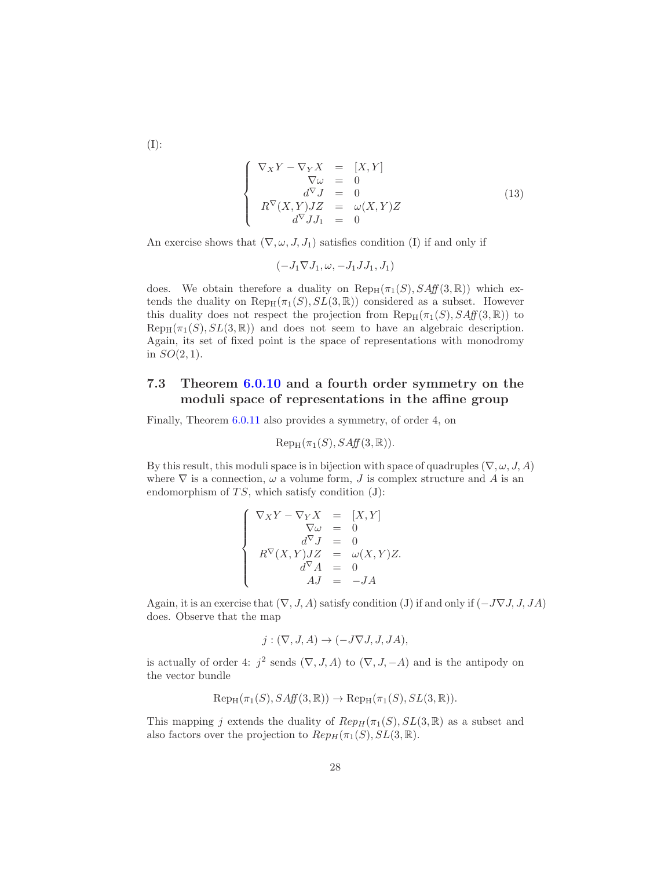(I):

<span id="page-27-1"></span>
$$
\begin{cases}\n\nabla_X Y - \nabla_Y X &= [X, Y] \\
\nabla \omega &= 0 \\
d^{\nabla} J &= 0 \\
R^{\nabla} (X, Y) JZ &= \omega(X, Y) Z \\
d^{\nabla} J J_1 &= 0\n\end{cases}
$$
\n(13)

An exercise shows that  $(\nabla, \omega, J, J_1)$  satisfies condition (I) if and only if

$$
(-J_1 \nabla J_1, \omega, -J_1 J J_1, J_1)
$$

does. We obtain therefore a duality on  $\text{Rep}_{H}(\pi_1(S), S\text{Aff}(3, \mathbb{R}))$  which extends the duality on  $\text{Rep}_{H}(\pi_1(S), SL(3, \mathbb{R}))$  considered as a subset. However this duality does not respect the projection from  $\text{Rep}_{H}(\pi_1(S), S\text{Aff}(3, \mathbb{R}))$  to  $\text{Rep}_{H}(\pi_1(S), SL(3, \mathbb{R}))$  and does not seem to have an algebraic description. Again, its set of fixed point is the space of representations with monodromy in  $SO(2,1)$ .

### <span id="page-27-0"></span>7.3 Theorem [6.0.10](#page-21-0) and a fourth order symmetry on the moduli space of representations in the affine group

Finally, Theorem [6.0.11](#page-22-0) also provides a symmetry, of order 4, on

$$
Rep_H(\pi_1(S), SAff(3, \mathbb{R})).
$$

By this result, this moduli space is in bijection with space of quadruples ( $\nabla, \omega, J, A$ ) where  $\nabla$  is a connection,  $\omega$  a volume form,  $J$  is complex structure and  $A$  is an endomorphism of  $TS$ , which satisfy condition (J):

$$
\left\{\begin{array}{rcl}\nabla_XY-\nabla_YX&=&[X,Y]\\ \nabla\omega&=&0\\ d^\nabla J&=&0\\ R^\nabla(X,Y)JZ&=&\omega(X,Y)Z\\ d^\nabla A&=&0\\ AJ&=&-JA\end{array}\right.
$$

Again, it is an exercise that  $(\nabla, J, A)$  satisfy condition (J) if and only if  $(-J\nabla J, J, JA)$ does. Observe that the map

$$
j : (\nabla, J, A) \to (-J\nabla J, J, JA),
$$

is actually of order 4:  $j^2$  sends  $(\nabla, J, A)$  to  $(\nabla, J, -A)$  and is the antipody on the vector bundle

$$
Rep_H(\pi_1(S), SAff(3, \mathbb{R})) \to Rep_H(\pi_1(S), SL(3, \mathbb{R})).
$$

This mapping j extends the duality of  $Rep_H(\pi_1(S), SL(3, \mathbb{R})$  as a subset and also factors over the projection to  $Rep_H(\pi_1(S), SL(3, \mathbb{R}))$ .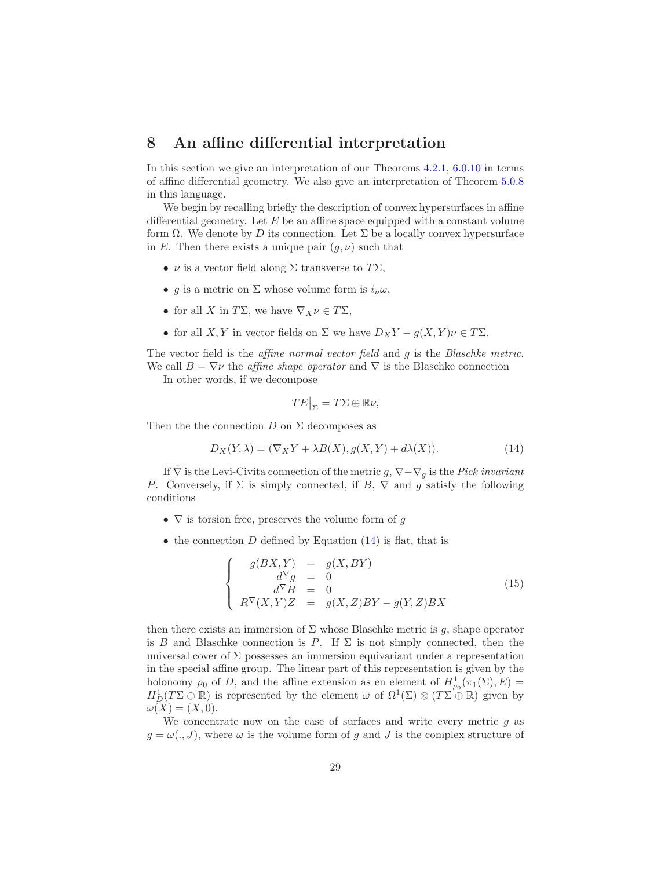### <span id="page-28-0"></span>8 An affine differential interpretation

In this section we give an interpretation of our Theorems [4.2.1,](#page-14-0) [6.0.10](#page-21-0) in terms of affine differential geometry. We also give an interpretation of Theorem [5.0.8](#page-19-1) in this language.

We begin by recalling briefly the description of convex hypersurfaces in affine differential geometry. Let  $E$  be an affine space equipped with a constant volume form  $\Omega$ . We denote by D its connection. Let  $\Sigma$  be a locally convex hypersurface in E. Then there exists a unique pair  $(q, \nu)$  such that

- $\nu$  is a vector field along  $\Sigma$  transverse to  $T\Sigma$ ,
- g is a metric on  $\Sigma$  whose volume form is  $i_{\nu}\omega$ ,
- for all X in  $T\Sigma$ , we have  $\nabla_X \nu \in T\Sigma$ ,
- for all X, Y in vector fields on  $\Sigma$  we have  $D_XY g(X, Y)\nu \in T\Sigma$ .

The vector field is the *affine normal vector field* and g is the *Blaschke metric*. We call  $B = \nabla \nu$  the *affine shape operator* and  $\nabla$  is the Blaschke connection

In other words, if we decompose

$$
TE\big|_{\Sigma} = T\Sigma \oplus \mathbb{R}\nu,
$$

Then the the connection  $D$  on  $\Sigma$  decomposes as

<span id="page-28-1"></span>
$$
D_X(Y,\lambda) = (\nabla_X Y + \lambda B(X), g(X,Y) + d\lambda(X)).
$$
\n(14)

If  $\overline{\nabla}$  is the Levi-Civita connection of the metric g,  $\nabla-\nabla_g$  is the Pick invariant P. Conversely, if  $\Sigma$  is simply connected, if B,  $\nabla$  and g satisfy the following conditions

- $\nabla$  is torsion free, preserves the volume form of g
- the connection D defined by Equation  $(14)$  is flat, that is

<span id="page-28-2"></span>
$$
\begin{cases}\n g(BX,Y) &= g(X,BY) \\
 d^{\nabla}g &= 0 \\
 d^{\nabla}B &= 0 \\
 R^{\nabla}(X,Y)Z &= g(X,Z)BY - g(Y,Z)BX\n\end{cases}
$$
\n(15)

then there exists an immersion of  $\Sigma$  whose Blaschke metric is g, shape operator is B and Blaschke connection is P. If  $\Sigma$  is not simply connected, then the universal cover of  $\Sigma$  possesses an immersion equivariant under a representation in the special affine group. The linear part of this representation is given by the holonomy  $\rho_0$  of D, and the affine extension as en element of  $H^1_{\rho_0}(\pi_1(\Sigma), E) =$  $H_D^1(T\Sigma \oplus \mathbb{R})$  is represented by the element  $\omega$  of  $\Omega^1(\Sigma) \otimes (T\Sigma \oplus \mathbb{R})$  given by  $\omega(X) = (X, 0).$ 

We concentrate now on the case of surfaces and write every metric  $q$  as  $g = \omega(., J)$ , where  $\omega$  is the volume form of g and J is the complex structure of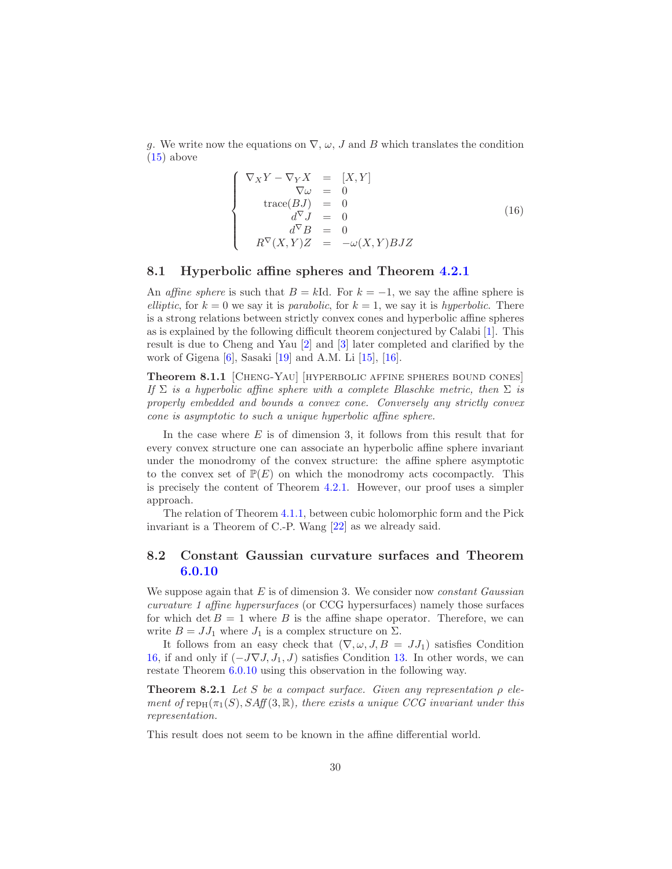g. We write now the equations on  $\nabla$ ,  $\omega$ , J and B which translates the condition  $(15)$  above

<span id="page-29-2"></span>
$$
\begin{cases}\n\nabla_X Y - \nabla_Y X &= [X, Y] \\
\nabla \omega &= 0 \\
\operatorname{trace}(BJ) &= 0 \\
d^{\nabla} J &= 0 \\
d^{\nabla} B &= 0 \\
R^{\nabla}(X, Y)Z &= -\omega(X, Y)BJZ\n\end{cases}
$$
\n(16)

### <span id="page-29-0"></span>8.1 Hyperbolic affine spheres and Theorem [4.2.1](#page-14-0)

An affine sphere is such that  $B = kId$ . For  $k = -1$ , we say the affine sphere is elliptic, for  $k = 0$  we say it is parabolic, for  $k = 1$ , we say it is hyperbolic. There is a strong relations between strictly convex cones and hyperbolic affine spheres as is explained by the following difficult theorem conjectured by Calabi [\[1\]](#page-38-1). This result is due to Cheng and Yau [\[2\]](#page-38-0) and [\[3\]](#page-39-3) later completed and clarified by the work of Gigena [\[6\]](#page-39-4), Sasaki [\[19\]](#page-40-0) and A.M. Li [\[15\]](#page-39-5), [\[16\]](#page-39-6).

Theorem 8.1.1 [CHENG-YAU] [HYPERBOLIC AFFINE SPHERES BOUND CONES] If  $\Sigma$  is a hyperbolic affine sphere with a complete Blaschke metric, then  $\Sigma$  is properly embedded and bounds a convex cone. Conversely any strictly convex cone is asymptotic to such a unique hyperbolic affine sphere.

In the case where  $E$  is of dimension 3, it follows from this result that for every convex structure one can associate an hyperbolic affine sphere invariant under the monodromy of the convex structure: the affine sphere asymptotic to the convex set of  $\mathbb{P}(E)$  on which the monodromy acts cocompactly. This is precisely the content of Theorem [4.2.1.](#page-14-0) However, our proof uses a simpler approach.

The relation of Theorem [4.1.1,](#page-12-0) between cubic holomorphic form and the Pick invariant is a Theorem of C.-P. Wang [\[22\]](#page-40-1) as we already said.

### <span id="page-29-1"></span>8.2 Constant Gaussian curvature surfaces and Theorem [6.0.10](#page-21-0)

We suppose again that  $E$  is of dimension 3. We consider now *constant Gaussian* curvature 1 affine hypersurfaces (or CCG hypersurfaces) namely those surfaces for which det  $B = 1$  where B is the affine shape operator. Therefore, we can write  $B = JJ_1$  where  $J_1$  is a complex structure on  $\Sigma$ .

It follows from an easy check that  $(\nabla, \omega, J, B = JJ_1)$  satisfies Condition [16,](#page-29-2) if and only if  $(-J\nabla J, J_1, J)$  satisfies Condition [13.](#page-27-1) In other words, we can restate Theorem [6.0.10](#page-21-0) using this observation in the following way.

**Theorem 8.2.1** Let S be a compact surface. Given any representation  $\rho$  element of rep<sub>H</sub>( $\pi_1(S)$ , SAff(3, R), there exists a unique CCG invariant under this representation.

This result does not seem to be known in the affine differential world.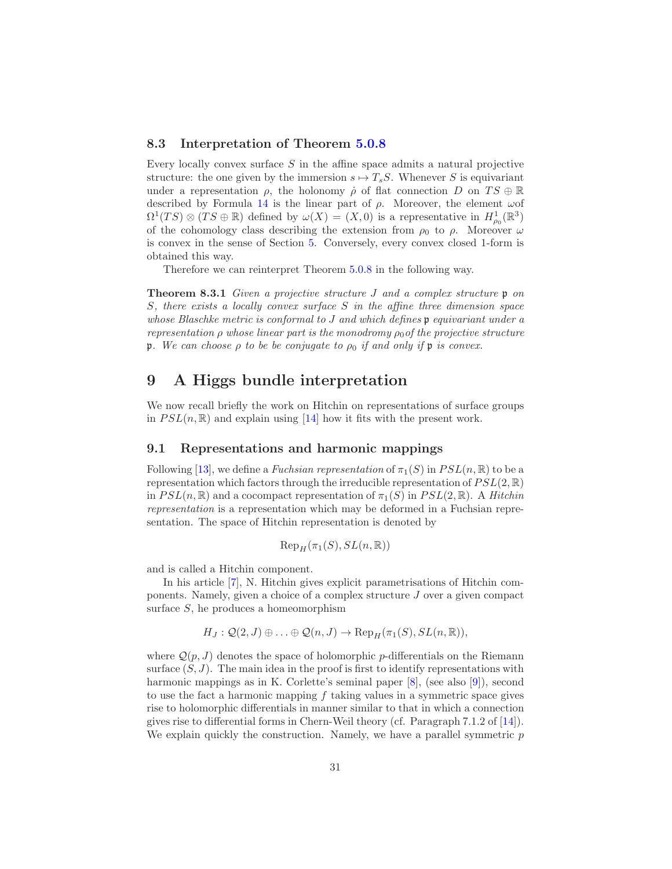### <span id="page-30-0"></span>8.3 Interpretation of Theorem [5.0.8](#page-19-1)

Every locally convex surface  $S$  in the affine space admits a natural projective structure: the one given by the immersion  $s \mapsto T_sS$ . Whenever S is equivariant under a representation  $\rho$ , the holonomy  $\rho$  of flat connection D on  $TS \oplus \mathbb{R}$ described by Formula [14](#page-28-1) is the linear part of  $\rho$ . Moreover, the element  $\omega$ of  $\Omega^1(TS) \otimes (TS \oplus \mathbb{R})$  defined by  $\omega(X) = (X,0)$  is a representative in  $H^1_{\rho_0}(\mathbb{R}^3)$ of the cohomology class describing the extension from  $\rho_0$  to  $\rho$ . Moreover  $\omega$ is convex in the sense of Section [5.](#page-19-0) Conversely, every convex closed 1-form is obtained this way.

Therefore we can reinterpret Theorem [5.0.8](#page-19-1) in the following way.

**Theorem 8.3.1** Given a projective structure J and a complex structure  $\mathfrak{p}$  on S, there exists a locally convex surface S in the affine three dimension space whose Blaschke metric is conformal to  $J$  and which defines  $\mathfrak p$  equivariant under a representation  $\rho$  whose linear part is the monodromy  $\rho_0$  of the projective structure p. We can choose  $\rho$  to be be conjugate to  $\rho_0$  if and only if p is convex.

# <span id="page-30-1"></span>9 A Higgs bundle interpretation

We now recall briefly the work on Hitchin on representations of surface groups in  $PSL(n,\mathbb{R})$  and explain using [\[14\]](#page-39-8) how it fits with the present work.

### <span id="page-30-2"></span>9.1 Representations and harmonic mappings

Following [\[13\]](#page-39-11), we define a Fuchsian representation of  $\pi_1(S)$  in  $PSL(n, \mathbb{R})$  to be a representation which factors through the irreducible representation of  $PSL(2,\mathbb{R})$ in  $PSL(n, \mathbb{R})$  and a cocompact representation of  $\pi_1(S)$  in  $PSL(2, \mathbb{R})$ . A Hitchin representation is a representation which may be deformed in a Fuchsian representation. The space of Hitchin representation is denoted by

$$
\mathrm{Rep}_H(\pi_1(S), SL(n, \mathbb{R}))
$$

and is called a Hitchin component.

In his article [\[7\]](#page-39-12), N. Hitchin gives explicit parametrisations of Hitchin components. Namely, given a choice of a complex structure J over a given compact surface  $S$ , he produces a homeomorphism

$$
H_J: \mathcal{Q}(2, J) \oplus \ldots \oplus \mathcal{Q}(n, J) \to \operatorname{Rep}_H(\pi_1(S), SL(n, \mathbb{R})),
$$

where  $\mathcal{Q}(p, J)$  denotes the space of holomorphic p-differentials on the Riemann surface  $(S, J)$ . The main idea in the proof is first to identify representations with harmonic mappings as in K. Corlette's seminal paper [\[8\]](#page-39-13), (see also [\[9\]](#page-39-14)), second to use the fact a harmonic mapping  $f$  taking values in a symmetric space gives rise to holomorphic differentials in manner similar to that in which a connection gives rise to differential forms in Chern-Weil theory (cf. Paragraph 7.1.2 of [\[14\]](#page-39-8)). We explain quickly the construction. Namely, we have a parallel symmetric  $p$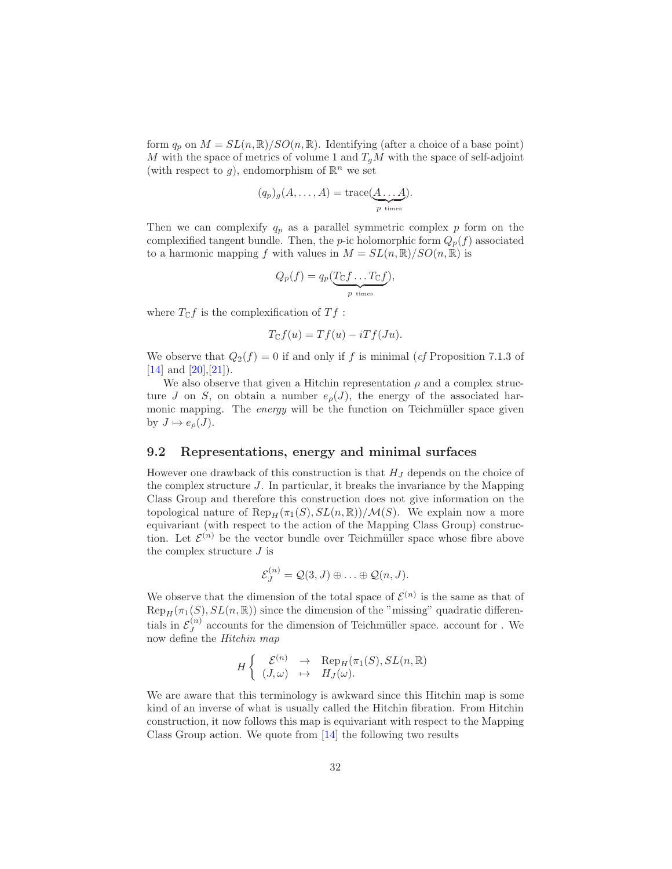form  $q_p$  on  $M = SL(n, \mathbb{R})/SO(n, \mathbb{R})$ . Identifying (after a choice of a base point) M with the space of metrics of volume 1 and  $T_qM$  with the space of self-adjoint (with respect to g), endomorphism of  $\mathbb{R}^n$  we set

$$
(q_p)_g(A, \ldots, A) = \operatorname{trace}(\underbrace{A \ldots A}_{p \text{ times}}).
$$

Then we can complexify  $q_p$  as a parallel symmetric complex p form on the complexified tangent bundle. Then, the p-ic holomorphic form  $Q_p(f)$  associated to a harmonic mapping f with values in  $M = SL(n, \mathbb{R})/SO(n, \mathbb{R})$  is

$$
Q_p(f) = q_p(\underbrace{T_{\mathbb{C}}f \dots T_{\mathbb{C}}f}_{p \text{ times}}),
$$

where  $T_{\mathbb{C}}f$  is the complexification of  $Tf$ :

$$
T_{\mathbb{C}}f(u) = Tf(u) - iTf(Ju).
$$

We observe that  $Q_2(f) = 0$  if and only if f is minimal (cf Proposition 7.1.3 of  $[14]$  and  $[20]$ ,  $[21]$ ).

We also observe that given a Hitchin representation  $\rho$  and a complex structure J on S, on obtain a number  $e_{\rho}(J)$ , the energy of the associated harmonic mapping. The energy will be the function on Teichmüller space given by  $J \mapsto e_{\rho}(J)$ .

### <span id="page-31-0"></span>9.2 Representations, energy and minimal surfaces

However one drawback of this construction is that  $H_J$  depends on the choice of the complex structure  $J$ . In particular, it breaks the invariance by the Mapping Class Group and therefore this construction does not give information on the topological nature of  $\text{Rep}_H(\pi_1(S), SL(n, \mathbb{R}))/\mathcal{M}(S)$ . We explain now a more equivariant (with respect to the action of the Mapping Class Group) construction. Let  $\mathcal{E}^{(n)}$  be the vector bundle over Teichmüller space whose fibre above the complex structure  $J$  is

$$
\mathcal{E}_J^{(n)} = \mathcal{Q}(3, J) \oplus \ldots \oplus \mathcal{Q}(n, J).
$$

We observe that the dimension of the total space of  $\mathcal{E}^{(n)}$  is the same as that of  $\text{Rep}_{H}(\pi_1(S), SL(n, \mathbb{R}))$  since the dimension of the "missing" quadratic differentials in  $\mathcal{E}_J^{(n)}$  $J_J^{(n)}$  accounts for the dimension of Teichmüller space. account for . We now define the Hitchin map

$$
H\begin{cases}\n\mathcal{E}^{(n)} \to \text{Rep}_H(\pi_1(S), SL(n,\mathbb{R}) \\
(J,\omega) \mapsto H_J(\omega).\n\end{cases}
$$

We are aware that this terminology is awkward since this Hitchin map is some kind of an inverse of what is usually called the Hitchin fibration. From Hitchin construction, it now follows this map is equivariant with respect to the Mapping Class Group action. We quote from [\[14\]](#page-39-8) the following two results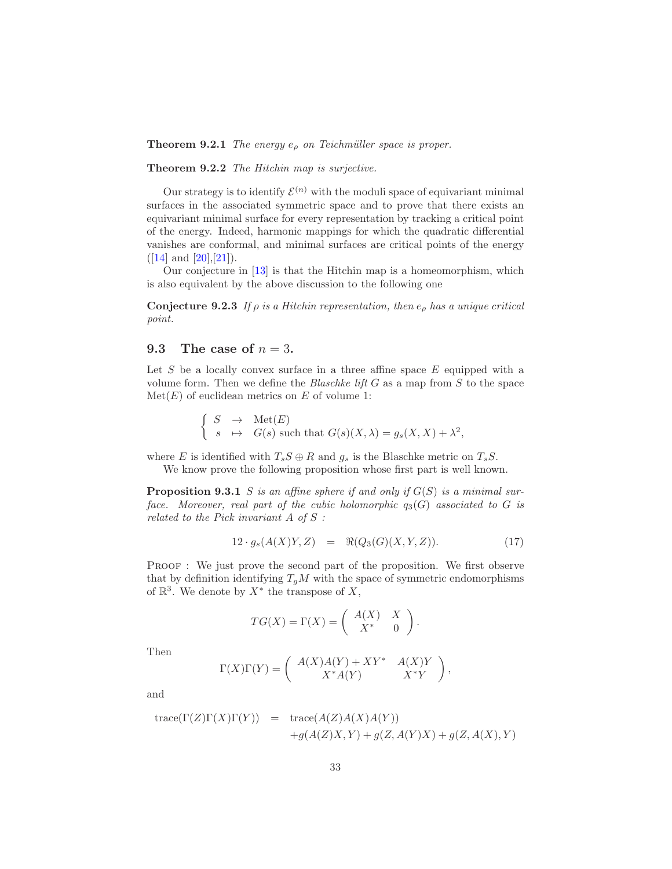**Theorem 9.2.1** The energy  $e_{\rho}$  on Teichmüller space is proper.

Theorem 9.2.2 The Hitchin map is surjective.

Our strategy is to identify  $\mathcal{E}^{(n)}$  with the moduli space of equivariant minimal surfaces in the associated symmetric space and to prove that there exists an equivariant minimal surface for every representation by tracking a critical point of the energy. Indeed, harmonic mappings for which the quadratic differential vanishes are conformal, and minimal surfaces are critical points of the energy  $([14] \text{ and } [20], [21]).$  $([14] \text{ and } [20], [21]).$  $([14] \text{ and } [20], [21]).$  $([14] \text{ and } [20], [21]).$  $([14] \text{ and } [20], [21]).$  $([14] \text{ and } [20], [21]).$  $([14] \text{ and } [20], [21]).$ 

Our conjecture in [\[13\]](#page-39-11) is that the Hitchin map is a homeomorphism, which is also equivalent by the above discussion to the following one

**Conjecture 9.2.3** If  $\rho$  is a Hitchin representation, then  $e_{\rho}$  has a unique critical point.

### <span id="page-32-0"></span>9.3 The case of  $n = 3$ .

Let S be a locally convex surface in a three affine space  $E$  equipped with a volume form. Then we define the *Blaschke lift*  $G$  as a map from  $S$  to the space  $\mathrm{Met}(E)$  of euclidean metrics on E of volume 1:

> $\int S \rightarrow \text{Met}(E)$  $s \mapsto G(s)$  such that  $G(s)(X, \lambda) = g_s(X, X) + \lambda^2$ ,

where E is identified with  $T_sS \oplus R$  and  $g_s$  is the Blaschke metric on  $T_sS$ .

We know prove the following proposition whose first part is well known.

**Proposition 9.3.1** S is an affine sphere if and only if  $G(S)$  is a minimal surface. Moreover, real part of the cubic holomorphic  $q_3(G)$  associated to G is related to the Pick invariant A of S :

$$
12 \cdot g_s(A(X)Y, Z) = \Re(Q_3(G)(X, Y, Z)). \tag{17}
$$

PROOF : We just prove the second part of the proposition. We first observe that by definition identifying  $T_qM$  with the space of symmetric endomorphisms of  $\mathbb{R}^3$ . We denote by  $X^*$  the transpose of X,

$$
TG(X) = \Gamma(X) = \begin{pmatrix} A(X) & X \\ X^* & 0 \end{pmatrix}.
$$

Then

$$
\Gamma(X)\Gamma(Y)=\left(\begin{array}{cc}A(X)A(Y)+XY^*&A(X)Y\\X^*A(Y)&X^*Y\end{array}\right),
$$

and

trace(
$$
\Gamma(Z)\Gamma(X)\Gamma(Y)
$$
) = trace( $A(Z)A(X)A(Y)$ )  
+ $g(A(Z)X, Y) + g(Z, A(Y)X) + g(Z, A(X), Y)$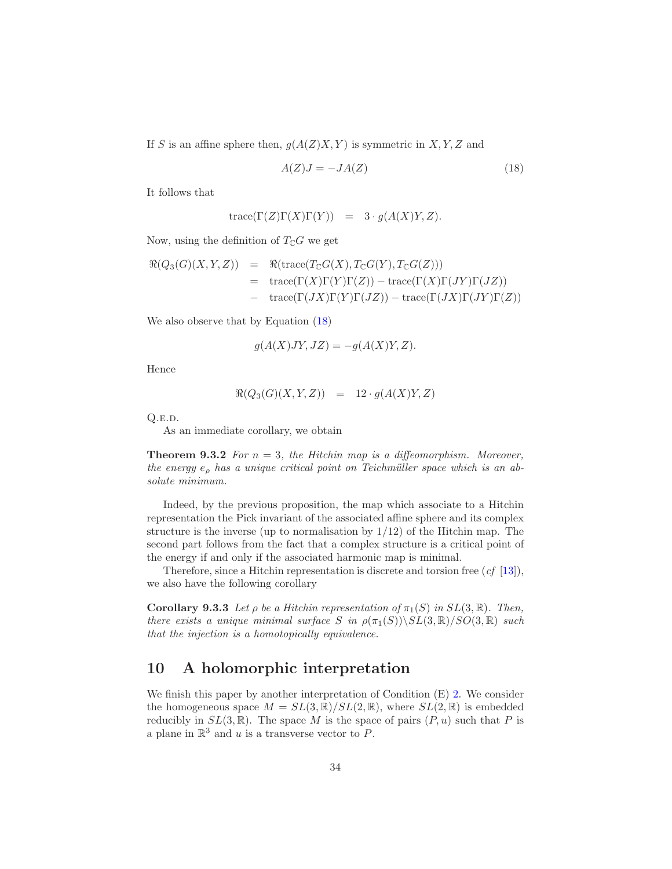If S is an affine sphere then,  $g(A(Z)X, Y)$  is symmetric in X, Y, Z and

<span id="page-33-2"></span>
$$
A(Z)J = -JA(Z)
$$
\n<sup>(18)</sup>

It follows that

$$
trace(\Gamma(Z)\Gamma(X)\Gamma(Y)) = 3 \cdot g(A(X)Y, Z).
$$

Now, using the definition of  $T_{\mathbb{C}}G$  we get

$$
\mathcal{R}(Q_3(G)(X,Y,Z)) = \mathcal{R}(\text{trace}(T_{\mathbb{C}}G(X), T_{\mathbb{C}}G(Y), T_{\mathbb{C}}G(Z)))
$$
  
= trace(\Gamma(X)\Gamma(Y)\Gamma(Z)) – trace(\Gamma(X)\Gamma(JY)\Gamma(JZ))  
- trace(\Gamma(JX)\Gamma(Y)\Gamma(JZ)) – trace(\Gamma(JX)\Gamma(JY)\Gamma(Z))

We also observe that by Equation [\(18\)](#page-33-2)

$$
g(A(X)JY, JZ) = -g(A(X)Y, Z).
$$

Hence

$$
\Re(Q_3(G)(X,Y,Z)) = 12 \cdot g(A(X)Y, Z)
$$

Q.e.d.

As an immediate corollary, we obtain

**Theorem 9.3.2** For  $n = 3$ , the Hitchin map is a diffeomorphism. Moreover, the energy  $e_{\rho}$  has a unique critical point on Teichmüller space which is an absolute minimum.

Indeed, by the previous proposition, the map which associate to a Hitchin representation the Pick invariant of the associated affine sphere and its complex structure is the inverse (up to normalisation by  $1/12$ ) of the Hitchin map. The second part follows from the fact that a complex structure is a critical point of the energy if and only if the associated harmonic map is minimal.

<span id="page-33-0"></span>Therefore, since a Hitchin representation is discrete and torsion free  $(cf [13])$  $(cf [13])$  $(cf [13])$ , we also have the following corollary

**Corollary 9.3.3** Let  $\rho$  be a Hitchin representation of  $\pi_1(S)$  in  $SL(3,\mathbb{R})$ . Then, there exists a unique minimal surface S in  $\rho(\pi_1(S))\backslash SL(3,\mathbb{R})/SO(3,\mathbb{R})$  such that the injection is a homotopically equivalence.

### <span id="page-33-1"></span>10 A holomorphic interpretation

We finish this paper by another interpretation of Condition (E) [2.](#page-5-1) We consider the homogeneous space  $M = SL(3,\mathbb{R})/SL(2,\mathbb{R})$ , where  $SL(2,\mathbb{R})$  is embedded reducibly in  $SL(3,\mathbb{R})$ . The space M is the space of pairs  $(P, u)$  such that P is a plane in  $\mathbb{R}^3$  and u is a transverse vector to P.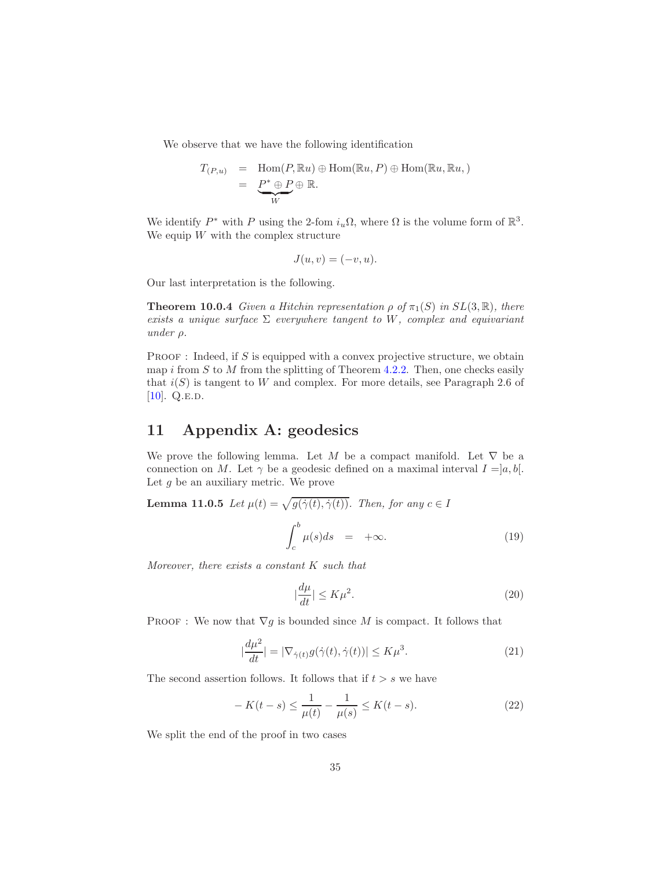We observe that we have the following identification

$$
T_{(P,u)} = \text{Hom}(P, \mathbb{R}u) \oplus \text{Hom}(\mathbb{R}u, P) \oplus \text{Hom}(\mathbb{R}u, \mathbb{R}u, )
$$
  
= 
$$
\underbrace{P^* \oplus P}_{W} \oplus \mathbb{R}.
$$

We identify  $P^*$  with P using the 2-fom  $i_u\Omega$ , where  $\Omega$  is the volume form of  $\mathbb{R}^3$ . We equip  $W$  with the complex structure

$$
J(u, v) = (-v, u).
$$

Our last interpretation is the following.

**Theorem 10.0.4** Given a Hitchin representation  $\rho$  of  $\pi_1(S)$  in  $SL(3,\mathbb{R})$ , there exists a unique surface  $\Sigma$  everywhere tangent to W, complex and equivariant under  $\rho$ .

PROOF : Indeed, if  $S$  is equipped with a convex projective structure, we obtain map i from  $S$  to  $M$  from the splitting of Theorem [4.2.2.](#page-15-5) Then, one checks easily that  $i(S)$  is tangent to W and complex. For more details, see Paragraph 2.6 of [ $10$ ]. Q.E.D.

# <span id="page-34-0"></span>11 Appendix A: geodesics

We prove the following lemma. Let M be a compact manifold. Let  $\nabla$  be a connection on M. Let  $\gamma$  be a geodesic defined on a maximal interval  $I = [a, b]$ . Let  $g$  be an auxiliary metric. We prove

**Lemma 11.0.5** Let 
$$
\mu(t) = \sqrt{g(\dot{\gamma}(t), \dot{\gamma}(t))}
$$
. Then, for any  $c \in I$   

$$
\int_{c}^{b} \mu(s)ds = +\infty.
$$
 (19)

Moreover, there exists a constant K such that

<span id="page-34-1"></span>
$$
|\frac{d\mu}{dt}| \le K\mu^2.
$$
\n(20)

PROOF : We now that  $\nabla g$  is bounded since M is compact. It follows that

$$
\left|\frac{d\mu^2}{dt}\right| = \left|\nabla_{\dot{\gamma}(t)}g(\dot{\gamma}(t), \dot{\gamma}(t))\right| \le K\mu^3.
$$
\n(21)

The second assertion follows. It follows that if  $t > s$  we have

<span id="page-34-2"></span>
$$
-K(t-s) \le \frac{1}{\mu(t)} - \frac{1}{\mu(s)} \le K(t-s).
$$
 (22)

We split the end of the proof in two cases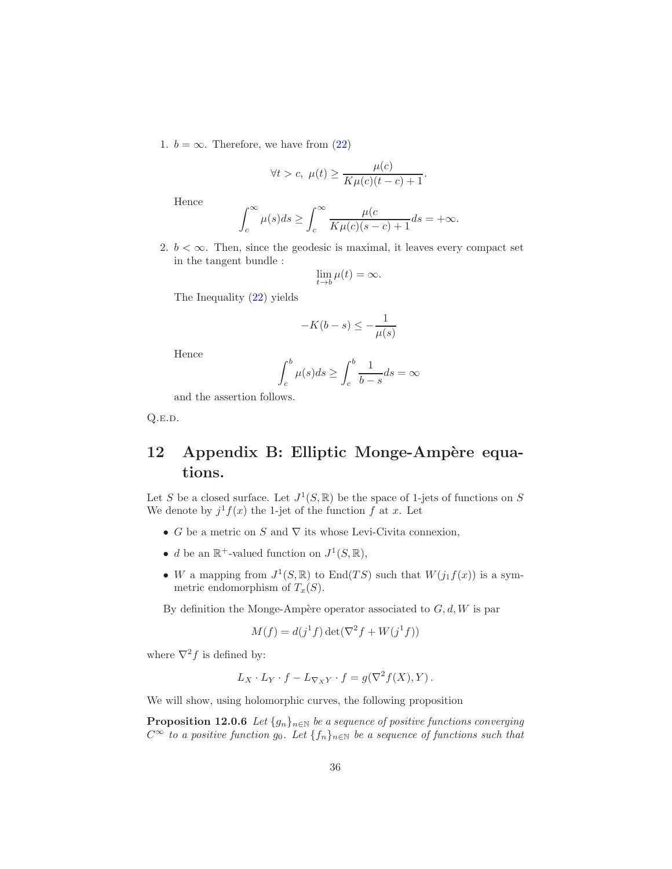1.  $b = \infty$ . Therefore, we have from [\(22\)](#page-34-2)

$$
\forall t > c, \ \mu(t) \ge \frac{\mu(c)}{K\mu(c)(t-c)+1}.
$$

Hence

$$
\int_{c}^{\infty} \mu(s)ds \ge \int_{c}^{\infty} \frac{\mu(c)}{K\mu(c)(s-c)+1}ds = +\infty.
$$

2.  $b < \infty$ . Then, since the geodesic is maximal, it leaves every compact set in the tangent bundle :

$$
\lim_{t \to b} \mu(t) = \infty.
$$

The Inequality [\(22\)](#page-34-2) yields

$$
-K(b-s) \le -\frac{1}{\mu(s)}
$$

Hence

$$
\int_{c}^{b} \mu(s)ds \ge \int_{c}^{b} \frac{1}{b-s}ds = \infty
$$

and the assertion follows.

Q.e.d.

# <span id="page-35-0"></span>12 Appendix B: Elliptic Monge-Ampère equations.

Let S be a closed surface. Let  $J^1(S, \mathbb{R})$  be the space of 1-jets of functions on S We denote by  $j<sup>1</sup> f(x)$  the 1-jet of the function f at x. Let

- G be a metric on S and  $\nabla$  its whose Levi-Civita connexion,
- *d* be an  $\mathbb{R}^+$ -valued function on  $J^1(S, \mathbb{R})$ ,
- W a mapping from  $J^1(S, \mathbb{R})$  to End $(TS)$  such that  $W(j_1 f(x))$  is a symmetric endomorphism of  $T_x(S)$ .

By definition the Monge-Ampère operator associated to  $G, d, W$  is par

<span id="page-35-1"></span>
$$
M(f) = d(j1f) \det(\nabla^2 f + W(j1f))
$$

where  $\nabla^2 f$  is defined by:

$$
L_X \cdot L_Y \cdot f - L_{\nabla_X Y} \cdot f = g(\nabla^2 f(X), Y).
$$

We will show, using holomorphic curves, the following proposition

**Proposition 12.0.6** Let  ${g_n}_{n\in\mathbb{N}}$  be a sequence of positive functions converging  $C^{\infty}$  to a positive function  $g_0$ . Let  $\{f_n\}_{n\in\mathbb{N}}$  be a sequence of functions such that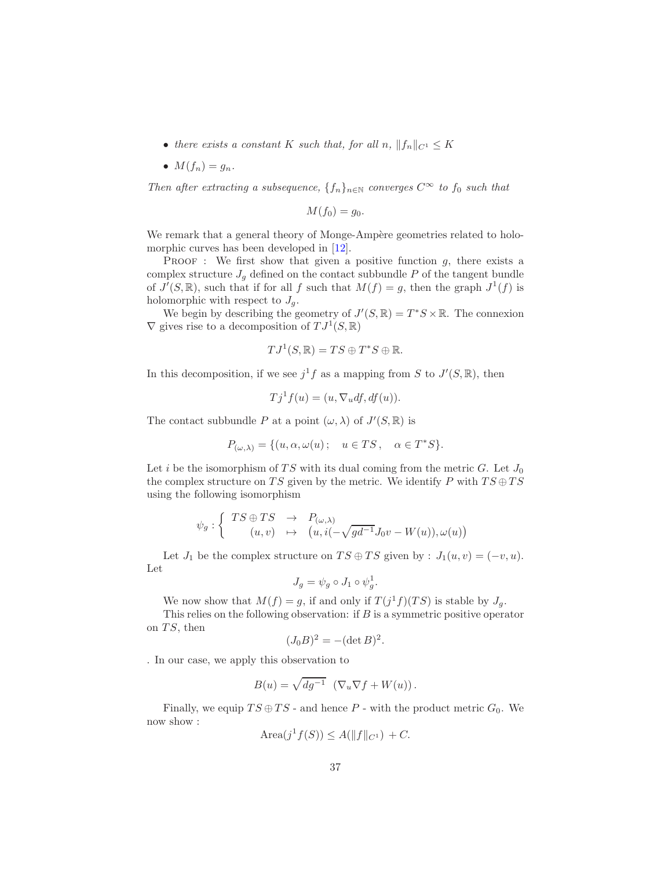- there exists a constant K such that, for all n,  $||f_n||_{C^1} \leq K$
- $M(f_n) = g_n$ .

Then after extracting a subsequence,  $\{f_n\}_{n\in\mathbb{N}}$  converges  $C^{\infty}$  to  $f_0$  such that

$$
M(f_0)=g_0.
$$

We remark that a general theory of Monge-Ampère geometries related to holomorphic curves has been developed in  $[12]$ .

**PROOF** : We first show that given a positive function  $g$ , there exists a complex structure  $J_q$  defined on the contact subbundle P of the tangent bundle of  $J'(S,\mathbb{R})$ , such that if for all f such that  $M(f) = g$ , then the graph  $J^1(f)$  is holomorphic with respect to  $J_q$ .

We begin by describing the geometry of  $J'(S, \mathbb{R}) = T^*S \times \mathbb{R}$ . The connexion  $\nabla$  gives rise to a decomposition of  $TJ^1(S,\mathbb{R})$ 

$$
TJ^1(S,\mathbb{R}) = TS \oplus T^*S \oplus \mathbb{R}.
$$

In this decomposition, if we see  $j<sup>1</sup>f$  as a mapping from S to  $J'(S, \mathbb{R})$ , then

$$
Tj1f(u) = (u, \nabla_u df, df(u)).
$$

The contact subbundle P at a point  $(\omega, \lambda)$  of  $J'(S, \mathbb{R})$  is

$$
P_{(\omega,\lambda)} = \{(u,\alpha,\omega(u); \quad u \in TS, \quad \alpha \in T^*S\}.
$$

Let i be the isomorphism of TS with its dual coming from the metric G. Let  $J_0$ the complex structure on TS given by the metric. We identify P with  $TS \oplus TS$ using the following isomorphism

$$
\psi_g : \left\{ \begin{array}{ccc} TS \oplus TS & \to & P_{(\omega,\lambda)} \\ (u,v) & \mapsto & \left( u, i(-\sqrt{gd^{-1}}J_0v - W(u)), \omega(u) \right) \end{array} \right.
$$

Let  $J_1$  be the complex structure on  $TS \oplus TS$  given by :  $J_1(u, v) = (-v, u)$ . Let

$$
J_g = \psi_g \circ J_1 \circ \psi_g^1.
$$

We now show that  $M(f) = g$ , if and only if  $T(j<sup>1</sup>f)(TS)$  is stable by  $J_g$ . This relies on the following observation: if  $B$  is a symmetric positive operator

on  $TS$ , then

$$
(J_0B)^2 = -(\det B)^2.
$$

. In our case, we apply this observation to

$$
B(u) = \sqrt{dg^{-1}} \left( \nabla_u \nabla f + W(u) \right).
$$

Finally, we equip  $TS \oplus TS$  - and hence P - with the product metric  $G_0$ . We now show :

$$
Area(j^1 f(S)) \le A(||f||_{C^1}) + C.
$$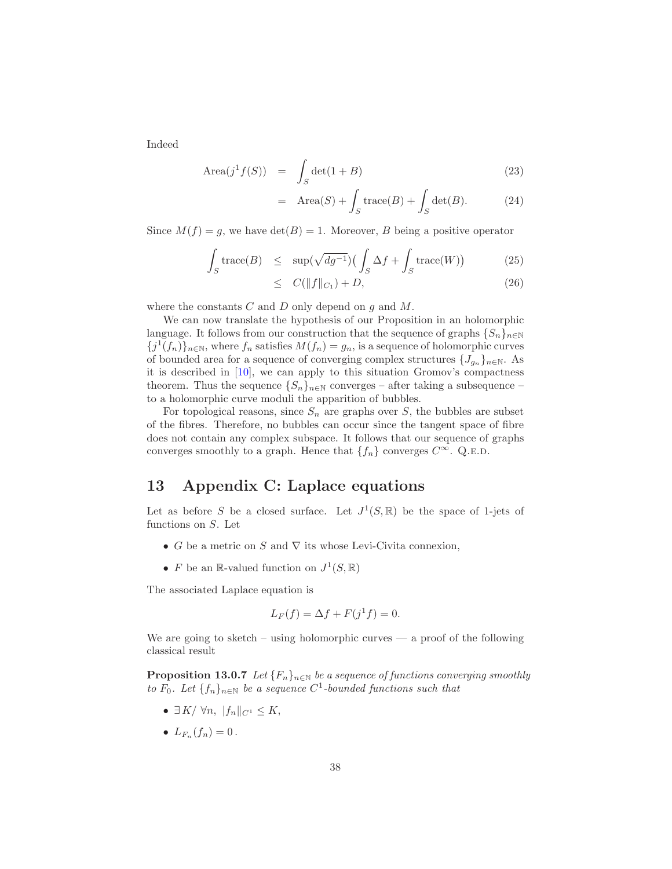Indeed

$$
\text{Area}(j^1 f(S)) = \int_S \det(1 + B) \tag{23}
$$

$$
= \text{Area}(S) + \int_S \text{trace}(B) + \int_S \det(B). \tag{24}
$$

Since  $M(f) = g$ , we have  $\det(B) = 1$ . Moreover, B being a positive operator

$$
\int_{S} \operatorname{trace}(B) \leq \sup(\sqrt{dg^{-1}}) \left(\int_{S} \Delta f + \int_{S} \operatorname{trace}(W)\right) \tag{25}
$$

$$
\leq C(||f||_{C_1}) + D,\tag{26}
$$

where the constants  $C$  and  $D$  only depend on  $g$  and  $M$ .

We can now translate the hypothesis of our Proposition in an holomorphic language. It follows from our construction that the sequence of graphs  ${S_n}_{n\in\mathbb{N}}$  ${j<sup>1</sup>(f<sub>n</sub>)}_{n\in\mathbb{N}}$ , where  $f<sub>n</sub>$  satisfies  $M(f<sub>n</sub>) = g<sub>n</sub>$ , is a sequence of holomorphic curves of bounded area for a sequence of converging complex structures  ${J_{g_n}}_{n\in\mathbb{N}}$ . As it is described in [\[10\]](#page-39-9), we can apply to this situation Gromov's compactness theorem. Thus the sequence  $\{S_n\}_{n\in\mathbb{N}}$  converges – after taking a subsequence – to a holomorphic curve moduli the apparition of bubbles.

For topological reasons, since  $S_n$  are graphs over S, the bubbles are subset of the fibres. Therefore, no bubbles can occur since the tangent space of fibre does not contain any complex subspace. It follows that our sequence of graphs converges smoothly to a graph. Hence that  $\{f_n\}$  converges  $C^{\infty}$ . Q.E.D.

### <span id="page-37-0"></span>13 Appendix C: Laplace equations

Let as before S be a closed surface. Let  $J^1(S, \mathbb{R})$  be the space of 1-jets of functions on S. Let

- G be a metric on S and  $\nabla$  its whose Levi-Civita connexion,
- F be an R-valued function on  $J^1(S, \mathbb{R})$

The associated Laplace equation is

$$
L_F(f) = \Delta f + F(j^1 f) = 0.
$$

We are going to sketch – using holomorphic curves — a proof of the following classical result

**Proposition 13.0.7** Let  ${F_n}_{n\in\mathbb{N}}$  be a sequence of functions converging smoothly to  $F_0$ . Let  $\{f_n\}_{n\in\mathbb{N}}$  be a sequence  $C^1$ -bounded functions such that

- $\exists K/\forall n, \|f_n\|_{C^1} \leq K$ ,
- $L_{F_n}(f_n) = 0$ .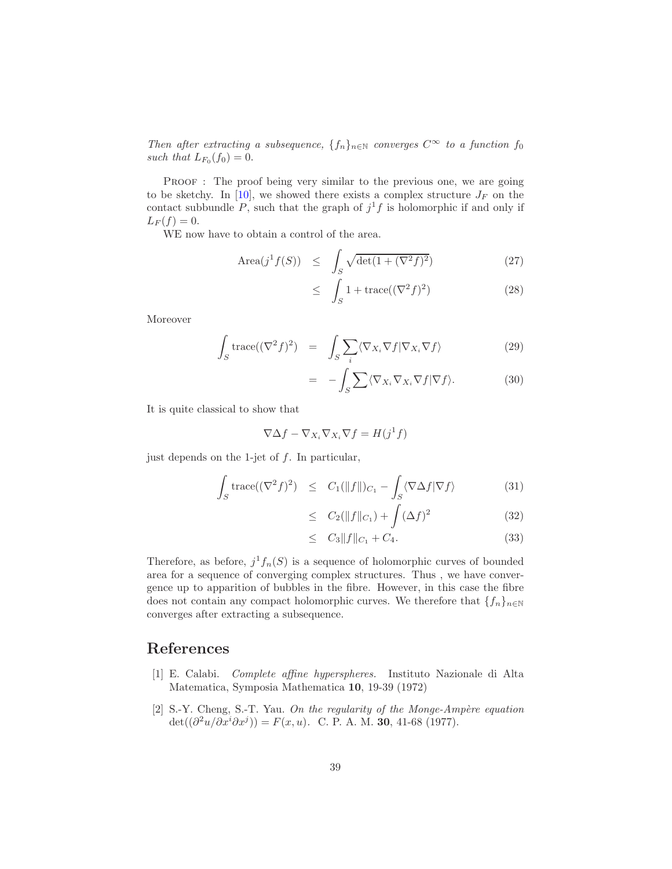Then after extracting a subsequence,  $\{f_n\}_{n\in\mathbb{N}}$  converges  $C^{\infty}$  to a function  $f_0$ such that  $L_{F_0}(f_0)=0$ .

PROOF : The proof being very similar to the previous one, we are going to be sketchy. In [\[10\]](#page-39-9), we showed there exists a complex structure  $J_F$  on the contact subbundle P, such that the graph of  $j<sup>1</sup>f$  is holomorphic if and only if  $L_F(f) = 0.$ 

WE now have to obtain a control of the area.

$$
\text{Area}(j^1 f(S)) \le \int_S \sqrt{\det(1 + (\nabla^2 f)^2)} \tag{27}
$$

$$
\leq \int_{S} 1 + \text{trace}((\nabla^2 f)^2) \tag{28}
$$

Moreover

$$
\int_{S} \text{trace}((\nabla^{2} f)^{2}) = \int_{S} \sum_{i} \langle \nabla_{X_{i}} \nabla f | \nabla_{X_{i}} \nabla f \rangle \tag{29}
$$

$$
= -\int_{S} \sum \langle \nabla_{X_i} \nabla_{X_i} \nabla f | \nabla f \rangle.
$$
 (30)

It is quite classical to show that

$$
\nabla \Delta f - \nabla_{X_i} \nabla_{X_i} \nabla f = H(j^1 f)
$$

just depends on the 1-jet of  $f$ . In particular,

$$
\int_{S} \operatorname{trace}((\nabla^{2} f)^{2}) \leq C_{1}(\|f\|)_{C_{1}} - \int_{S} \langle \nabla \Delta f | \nabla f \rangle \tag{31}
$$

$$
\leq C_2(||f||_{C_1}) + \int (\Delta f)^2 \tag{32}
$$

$$
\leq C_3 \|f\|_{C_1} + C_4. \tag{33}
$$

Therefore, as before,  $j<sup>1</sup>f<sub>n</sub>(S)$  is a sequence of holomorphic curves of bounded area for a sequence of converging complex structures. Thus , we have convergence up to apparition of bubbles in the fibre. However, in this case the fibre does not contain any compact holomorphic curves. We therefore that  $\{f_n\}_{n\in\mathbb{N}}$ converges after extracting a subsequence.

### <span id="page-38-1"></span>References

- [1] E. Calabi. Complete affine hyperspheres. Instituto Nazionale di Alta Matematica, Symposia Mathematica 10, 19-39 (1972)
- <span id="page-38-0"></span>[2] S.-Y. Cheng, S.-T. Yau. On the regularity of the Monge-Ampère equation  $\det((\partial^2 u/\partial x^i \partial x^j)) = F(x, u)$ . C. P. A. M. 30, 41-68 (1977).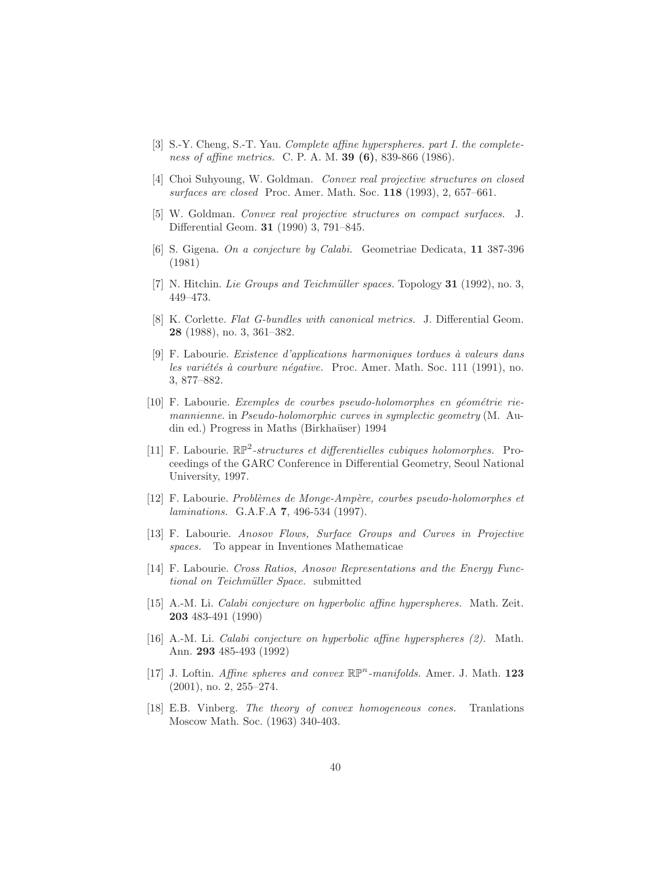- <span id="page-39-3"></span>[3] S.-Y. Cheng, S.-T. Yau. Complete affine hyperspheres. part I. the completeness of affine metrics. C. P. A. M. **39 (6)**, 839-866 (1986).
- <span id="page-39-1"></span><span id="page-39-0"></span>[4] Choi Suhyoung, W. Goldman. Convex real projective structures on closed surfaces are closed Proc. Amer. Math. Soc. 118 (1993), 2, 657–661.
- [5] W. Goldman. Convex real projective structures on compact surfaces. J. Differential Geom. 31 (1990) 3, 791–845.
- <span id="page-39-4"></span>[6] S. Gigena. On a conjecture by Calabi. Geometriae Dedicata, 11 387-396 (1981)
- <span id="page-39-13"></span><span id="page-39-12"></span>[7] N. Hitchin. Lie Groups and Teichmüller spaces. Topology 31 (1992), no. 3, 449–473.
- [8] K. Corlette. Flat G-bundles with canonical metrics. J. Differential Geom. 28 (1988), no. 3, 361–382.
- <span id="page-39-14"></span>[9] F. Labourie. Existence d'applications harmoniques tordues à valeurs dans les variétés à courbure négative. Proc. Amer. Math. Soc. 111 (1991), no. 3, 877–882.
- <span id="page-39-9"></span> $[10]$  F. Labourie. Exemples de courbes pseudo-holomorphes en géométrie riemannienne. in Pseudo-holomorphic curves in symplectic geometry (M. Audin ed.) Progress in Maths (Birkhaüser) 1994
- <span id="page-39-2"></span>[11] F. Labourie.  $\mathbb{RP}^2$ -structures et differentielles cubiques holomorphes. Proceedings of the GARC Conference in Differential Geometry, Seoul National University, 1997.
- <span id="page-39-10"></span>[12] F. Labourie. Problèmes de Monge-Ampère, courbes pseudo-holomorphes et laminations. G.A.F.A 7, 496-534 (1997).
- <span id="page-39-11"></span>[13] F. Labourie. Anosov Flows, Surface Groups and Curves in Projective spaces. To appear in Inventiones Mathematicae
- <span id="page-39-8"></span>[14] F. Labourie. Cross Ratios, Anosov Representations and the Energy Functional on Teichmüller Space. submitted
- <span id="page-39-5"></span>[15] A.-M. Li. Calabi conjecture on hyperbolic affine hyperspheres. Math. Zeit. 203 483-491 (1990)
- <span id="page-39-6"></span>[16] A.-M. Li. Calabi conjecture on hyperbolic affine hyperspheres (2). Math. Ann. 293 485-493 (1992)
- <span id="page-39-7"></span>[17] J. Loftin. Affine spheres and convex  $\mathbb{RP}^n$ -manifolds. Amer. J. Math. 123  $(2001)$ , no. 2, 255–274.
- [18] E.B. Vinberg. The theory of convex homogeneous cones. Tranlations Moscow Math. Soc. (1963) 340-403.